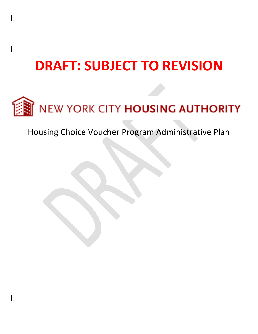# **DRAFT: SUBJECT TO REVISION**



# Housing Choice Voucher Program Administrative Plan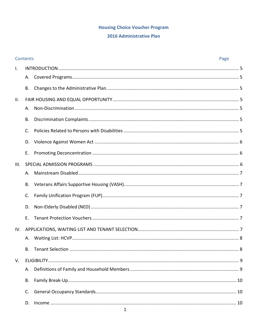# **Housing Choice Voucher Program**

#### 2016 Administrative Plan

|              | Contents<br>Page |  |  |
|--------------|------------------|--|--|
| $\mathsf{L}$ |                  |  |  |
|              | А.               |  |  |
|              | B.               |  |  |
| II.          |                  |  |  |
|              | Α.               |  |  |
|              | В.               |  |  |
|              | C.               |  |  |
|              | D.               |  |  |
|              | Ε.               |  |  |
| III.         |                  |  |  |
|              | А.               |  |  |
|              | В.               |  |  |
|              | C.               |  |  |
|              | D.               |  |  |
|              | Ε.               |  |  |
| IV.          |                  |  |  |
|              | А.               |  |  |
|              | B.               |  |  |
| V.           |                  |  |  |
|              | А.               |  |  |
|              | В.               |  |  |
|              | C.               |  |  |
|              | D.               |  |  |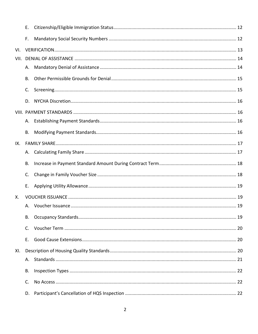|      | Ε. |  |  |  |
|------|----|--|--|--|
|      | F. |  |  |  |
| VI.  |    |  |  |  |
| VII. |    |  |  |  |
|      | А. |  |  |  |
|      | Β. |  |  |  |
|      | C. |  |  |  |
|      | D. |  |  |  |
|      |    |  |  |  |
|      | А. |  |  |  |
|      | Β. |  |  |  |
| IX.  |    |  |  |  |
|      | А. |  |  |  |
|      | Β. |  |  |  |
|      | C. |  |  |  |
|      | Ε. |  |  |  |
| X.   |    |  |  |  |
|      |    |  |  |  |
|      | В. |  |  |  |
|      | C. |  |  |  |
|      | Ε. |  |  |  |
| XI.  |    |  |  |  |
|      | А. |  |  |  |
|      | В. |  |  |  |
|      | C. |  |  |  |
|      | D. |  |  |  |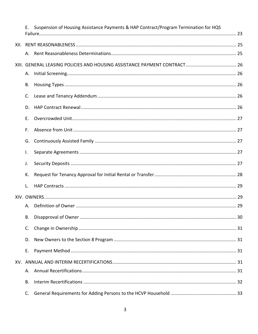|     | Е. | Suspension of Housing Assistance Payments & HAP Contract/Program Termination for HQS |  |
|-----|----|--------------------------------------------------------------------------------------|--|
|     |    |                                                                                      |  |
|     | А. |                                                                                      |  |
|     |    |                                                                                      |  |
|     | А. |                                                                                      |  |
|     | В. |                                                                                      |  |
|     | C. |                                                                                      |  |
|     | D. |                                                                                      |  |
|     | Ε. |                                                                                      |  |
|     | F. |                                                                                      |  |
|     | G. |                                                                                      |  |
|     | Ι. |                                                                                      |  |
|     | J. |                                                                                      |  |
|     | К. |                                                                                      |  |
|     | L. |                                                                                      |  |
|     |    |                                                                                      |  |
|     |    |                                                                                      |  |
|     | В. |                                                                                      |  |
|     | C. |                                                                                      |  |
|     | D. |                                                                                      |  |
|     | Ε. |                                                                                      |  |
| XV. |    |                                                                                      |  |
|     | А. |                                                                                      |  |
|     | Β. |                                                                                      |  |
|     | C. |                                                                                      |  |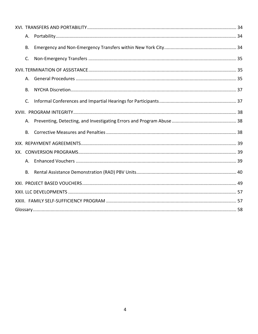| А.        |  |  |
|-----------|--|--|
| <b>B.</b> |  |  |
| C.        |  |  |
|           |  |  |
| А.        |  |  |
| В.        |  |  |
| C.        |  |  |
|           |  |  |
| А.        |  |  |
| Β.        |  |  |
|           |  |  |
|           |  |  |
| А.        |  |  |
| Β.        |  |  |
|           |  |  |
|           |  |  |
|           |  |  |
|           |  |  |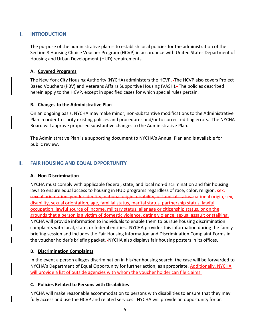# <span id="page-5-0"></span>**I. INTRODUCTION**

The purpose of the administrative plan is to establish local policies for the administration of the Section 8 Housing Choice Voucher Program (HCVP) in accordance with United States Department of Housing and Urban Development (HUD) requirements.

#### <span id="page-5-1"></span>**A. Covered Programs**

The New York City Housing Authority (NYCHA) administers the HCVP. The HCVP also covers Project Based Vouchers (PBV) and Veterans Affairs Supportive Housing (VASH). The policies described herein apply to the HCVP, except in specified cases for which special rules pertain.

#### <span id="page-5-2"></span>**B. Changes to the Administrative Plan**

On an ongoing basis, NYCHA may make minor, non-substantive modifications to the Administrative Plan in order to clarify existing policies and procedures and/or to correct editing errors. The NYCHA Board will approve proposed substantive changes to the Administrative Plan.

The Administrative Plan is a supporting document to NYCHA's Annual Plan and is available for public review.

# <span id="page-5-4"></span><span id="page-5-3"></span>**II. FAIR HOUSING AND EQUAL OPPORTUNITY**

#### **A. Non-Discrimination**

NYCHA must comply with applicable federal, state, and local non-discrimination and fair housing laws to ensure equal access to housing in HUD programs regardless of race, color, religion, sex, sexual orientation, gender identity, national origin, disability, or familial status. national origin, sex, disability, sexual orientation, age, familial status, marital status, partnership status, lawful occupation, lawful source of income, military status, alienage or citizenship status, or on the grounds that a person is a victim of domestic violence, dating violence, sexual assault or stalking. NYCHA will provide information to individuals to enable them to pursue housing discrimination complaints with local, state, or federal entities. -NYCHA provides this information during the family briefing session and includes the Fair Housing Information and Discrimination Complaint Forms in the voucher holder's briefing packet. -NYCHA also displays fair housing posters in its offices.

#### <span id="page-5-5"></span>**B. Discrimination Complaints**

In the event a person alleges discrimination in his/her housing search, the case will be forwarded to NYCHA's Department of Equal Opportunity for further action, as appropriate. Additionally, NYCHA will provide a list of outside agencies with whom the voucher holder can file claims.

#### <span id="page-5-6"></span>**C. Policies Related to Persons with Disabilities**

NYCHA will make reasonable accommodation to persons with disabilities to ensure that they may fully access and use the HCVP and related services. NYCHA will provide an opportunity for an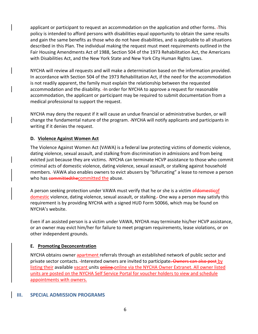applicant or participant to request an accommodation on the application and other forms. This policy is intended to afford persons with disabilities equal opportunity to obtain the same results and gain the same benefits as those who do not have disabilities, and is applicable to all situations described in this Plan. The individual making the request must meet requirements outlined in the Fair Housing Amendments Act of 1988, Section 504 of the 1973 Rehabilitation Act, the Americans with Disabilities Act, and the New York State and New York City Human Rights Laws.

NYCHA will review all requests and will make a determination based on the information provided. In accordance with Section 504 of the 1973 Rehabilitation Act, if the need for the accommodation is not readily apparent, the family must explain the relationship between the requested accommodation and the disability. In order for NYCHA to approve a request for reasonable accommodation, the applicant or participant may be required to submit documentation from a medical professional to support the request.

NYCHA may deny the request if it will cause an undue financial or administrative burden, or will change the fundamental nature of the program. NYCHA will notify applicants and participants in writing if it denies the request.

# <span id="page-6-0"></span>**D. Violence Against Women Act**

The Violence Against Women Act (VAWA) is a federal law protecting victims of domestic violence, dating violence, sexual assault, and stalking from discrimination in admissions and from being evicted just because they are victims. -NYCHA can terminate HCVP assistance to those who commit criminal acts of domestic violence, dating violence, sexual assault, or stalking against household members. VAWA also enables owners to evict abusers by "bifurcating" a lease to remove a person who has committed the committed the abuse.

A person seeking protection under VAWA must verify that he or she is a victim of domesticof domestic violence, dating violence, sexual assault, or stalking. One way a person may satisfy this requirement is by providing NYCHA with a signed HUD Form 50066, which may be found on NYCHA's website.

Even if an assisted person is a victim under VAWA, NYCHA may terminate his/her HCVP assistance, or an owner may evict him/her for failure to meet program requirements, lease violations, or on other independent grounds.

#### <span id="page-6-1"></span>**E. Promoting Deconcentration**

NYCHA obtains owner apartment referrals through an established network of public sector and private sector contacts. Interested owners are invited to participate. Owners can also post by listing their available vacant units on line-online via the NYCHA Owner Extranet. All owner listed units are posted on the NYCHA Self Service Portal for voucher holders to view and schedule appointments with owners.

#### <span id="page-6-2"></span>**III. SPECIAL ADMISSION PROGRAMS**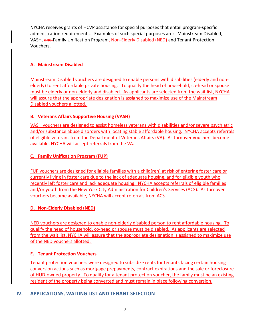NYCHA receives grants of HCVP assistance for special purposes that entail program-specific administration requirements. Examples of such special purposes are: Mainstream Disabled, VASH, and Family Unification Program, Non-Elderly Disabled (NED) and Tenant Protection Vouchers.

# <span id="page-7-0"></span>**A. Mainstream Disabled**

Mainstream Disabled vouchers are designed to enable persons with disabilities (elderly and nonelderly) to rent affordable private housing. To qualify the head of household, co-head or spouse must be elderly or non-elderly and disabled. As applicants are selected from the wait list, NYCHA will assure that the appropriate designation is assigned to maximize use of the Mainstream Disabled vouchers allotted.

# <span id="page-7-1"></span>**B. Veterans Affairs Supportive Housing (VASH)**

VASH vouchers are designed to assist homeless veterans with disabilities and/or severe psychiatric and/or substance abuse disorders with locating stable affordable housing. NYCHA accepts referrals of eligible veterans from the Department of Veterans Affairs (VA). As turnover vouchers become available, NYCHA will accept referrals from the VA.

# <span id="page-7-2"></span>**C. Family Unification Program (FUP)**

FUP vouchers are designed for eligible families with a child(ren) at risk of entering foster care or currently living in foster care due to the lack of adequate housing, and for eligible youth who recently left foster care and lack adequate housing. NYCHA accepts referrals of eligible families and/or youth from the New York City Administration for Children's Services (ACS). As turnover vouchers become available, NYCHA will accept referrals from ACS.

#### <span id="page-7-3"></span>**D. Non-Elderly Disabled (NED)**

NED vouchers are designed to enable non-elderly disabled person to rent affordable housing. To qualify the head of household, co-head or spouse must be disabled. As applicants are selected from the wait list, NYCHA will assure that the appropriate designation is assigned to maximize use of the NED vouchers allotted.

#### <span id="page-7-4"></span>**E. Tenant Protection Vouchers**

Tenant protection vouchers were designed to subsidize rents for tenants facing certain housing conversion actions such as mortgage prepayments, contract expirations and the sale or foreclosure of HUD-owned property. To qualify for a tenant protection voucher, the family must be an existing resident of the property being converted and must remain in place following conversion.

#### <span id="page-7-5"></span>**IV. APPLICATIONS, WAITING LIST AND TENANT SELECTION**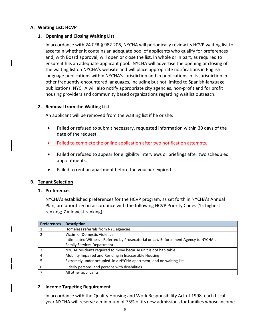#### <span id="page-8-0"></span>**A. Waiting List: HCVP**

#### **1. Opening and Closing Waiting List**

In accordance with 24 CFR § 982.206, NYCHA will periodically review its HCVP waiting list to ascertain whether it contains an adequate pool of applicants who qualify for preferences and, with Board approval, will open or close the list, in whole or in part, as required to ensure it has an adequate applicant pool. NYCHA will advertise the opening or closing of the waiting list on NYCHA's website and will place appropriate notifications in English language publications within NYCHA's jurisdiction and in publications in its jurisdiction in other frequently-encountered languages, including but not limited to Spanish-language publications. NYCHA will also notify appropriate city agencies, non-profit and for profit housing providers and community based organizations regarding waitlist outreach.

#### **2. Removal from the Waiting List**

An applicant will be removed from the waiting list if he or she:

- Failed or refused to submit necessary, requested information within 30 days of the date of the request.
- **Failed to complete the online application after two notification attempts.**
- Failed or refused to appear for eligibility interviews or briefings after two scheduled appointments.
- Failed to rent an apartment before the voucher expired.

#### <span id="page-8-1"></span>**B. Tenant Selection**

#### **1. Preferences**

NYCHA's established preferences for the HCVP program, as set forth in NYCHA's Annual Plan, are prioritized in accordance with the following HCVP Priority Codes (1= highest ranking;  $7 =$  lowest ranking):

| <b>Preferences</b> | <b>Description</b>                                                                   |
|--------------------|--------------------------------------------------------------------------------------|
|                    | Homeless referrals from NYC agencies                                                 |
| $\mathcal{P}$      | Victim of Domestic Violence                                                          |
|                    | Intimidated Witness - Referred by Prosecutorial or Law Enforcement Agency to NYCHA's |
|                    | <b>Family Services Department</b>                                                    |
| 3                  | NYCHA residents required to move because unit is not habitable                       |
|                    | Mobility Impaired and Residing in Inaccessible Housing                               |
|                    | Extremely under occupied -in a NYCHA apartment, and on waiting list                  |
| 6                  | Elderly persons -and persons with disabilities                                       |
|                    | All other applicants                                                                 |

#### **2. Income Targeting Requirement**

In accordance with the Quality Housing and Work Responsibility Act of 1998, each fiscal year NYCHA will reserve a minimum of 75% of its new admissions for families whose income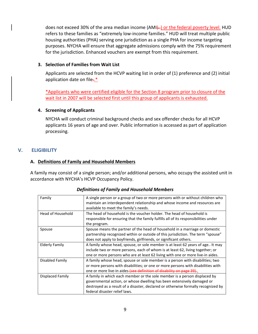does not exceed 30% of the area median income (AMI). In the federal poverty level. HUD refers to these families as "extremely low-income families." HUD will treat multiple public housing authorities (PHA) serving one jurisdiction as a single PHA for income targeting purposes. NYCHA will ensure that aggregate admissions comply with the 75% requirement for the jurisdiction. Enhanced vouchers are exempt from this requirement.

#### **3. Selection of Families from Wait List**

Applicants are selected from the HCVP waiting list in order of (1) preference and (2) initial application date on file.<sup>\*</sup>

\*Applicants who were certified eligible for the Section 8 program prior to closure of the wait list in 2007 will be selected first until this group of applicants is exhausted.

#### **4. Screening of Applicants**

NYCHA will conduct criminal background checks and sex offender checks for all HCVP applicants 16 years of age and over. Public information is accessed as part of application processing.

# <span id="page-9-1"></span>**V. ELIGIBILITY**

#### <span id="page-9-0"></span>**A. Definitions of Family and Household Members**

A family may consist of a single person; and/or additional persons, who occupy the assisted unit in accordance with NYCHA's HCVP Occupancy Policy.

| Family            | A single person or a group of two or more persons with or without children who<br>maintain an interdependent relationship and whose income and resources are<br>available to meet the family's needs.                                                                     |
|-------------------|---------------------------------------------------------------------------------------------------------------------------------------------------------------------------------------------------------------------------------------------------------------------------|
| Head of Household | The head of household is the voucher holder. The head of household is<br>responsible for ensuring that the family fulfills all of its responsibilities under<br>the program.                                                                                              |
| Spouse            | Spouse means the partner of the head of household in a marriage or domestic<br>partnership recognized within or outside of this jurisdiction. The term "spouse"<br>does not apply to boyfriends, girlfriends, or significant others.                                      |
| Elderly Family    | A family whose head, spouse, or sole member is at least 62 years of age.- It may<br>include two or more persons, each of whom is at least 62, living together; or<br>one or more persons who are at least 62 living with one or more live-in aides.                       |
| Disabled Family   | A family whose head, spouse or sole member is a person with disabilities; two<br>or more persons with disabilities; or one or more persons with disabilities with<br>one or more live-in aides (see definition of disability on page 39).                                 |
| Displaced Family  | A family in which each member or the sole member is a person displaced by<br>governmental action, or whose dwelling has been extensively damaged or<br>destroyed as a result of a disaster, declared or otherwise formally recognized by<br>federal disaster relief laws. |

#### *Definitions of Family and Household Members*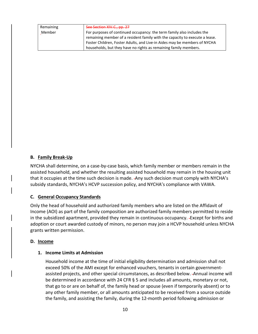| Remaining | See Section XIV.C., pp. 27                                                  |
|-----------|-----------------------------------------------------------------------------|
| Member    | For purposes of continued occupancy: the term family also includes the      |
|           | remaining member of a resident family with the capacity to execute a lease. |
|           | Foster Children, Foster Adults, and Live-in Aides may be members of NYCHA   |
|           | households, but they have no rights as remaining family members.            |

#### <span id="page-10-0"></span>**B. Family Break-Up**

NYCHA shall determine, on a case-by-case basis, which family member or members remain in the assisted household, and whether the resulting assisted household may remain in the housing unit that it occupies at the time such decision is made. - Any such decision must comply with NYCHA's subsidy standards, NYCHA's HCVP succession policy, and NYCHA's compliance with VAWA.

#### <span id="page-10-1"></span>**C. General Occupancy Standards**

Only the head of household and authorized family members who are listed on the Affidavit of Income (AOI) as part of the family composition are authorized family members permitted to reside in the subsidized apartment, provided they remain in continuous occupancy. Except for births and adoption or court awarded custody of minors, no person may join a HCVP household unless NYCHA grants written permission.

#### <span id="page-10-2"></span>**D. Income**

#### **1. Income Limits at Admission**

Household income at the time of initial eligibility determination and admission shall not exceed 50% of the AMI except for enhanced vouchers, tenants in certain governmentassisted projects, and other special circumstances, as described below. Annual income will be determined in accordance with 24 CFR § 5 and includes all amounts, monetary or not, that go to or are on behalf of, the family head or spouse (even if temporarily absent) or to any other family member, or all amounts anticipated to be received from a source outside the family, and assisting the family, during the 12-month period following admission or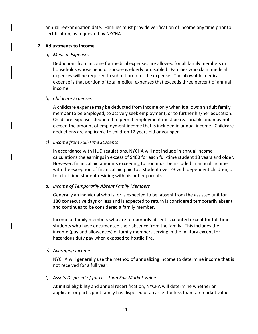annual reexamination date. Families must provide verification of income any time prior to certification, as requested by NYCHA.

#### **2. Adjustments to Income**

#### *a) Medical Expenses*

Deductions from income for medical expenses are allowed for all family members in households whose head or spouse is elderly or disabled. Families who claim medical expenses will be required to submit proof of the expense. The allowable medical expense is that portion of total medical expenses that exceeds three percent of annual income.

#### *b) Childcare Expenses*

A childcare expense may be deducted from income only when it allows an adult family member to be employed, to actively seek employment, or to further his/her education. Childcare expenses deducted to permit employment must be reasonable and may not exceed the amount of employment income that is included in annual income. Childcare deductions are applicable to children 12 years old or younger.

#### *c) Income from Full-Time Students*

In accordance with HUD regulations, NYCHA will not include in annual income calculations the earnings in excess of \$480 for each full-time student 18 years and older. However, financial aid amounts exceeding tuition must be included in annual income with the exception of financial aid paid to a student over 23 with dependent children, or to a full-time student residing with his or her parents.

#### *d) Income of Temporarily Absent Family Members*

Generally an individual who is, or is expected to be, absent from the assisted unit for 180 consecutive days or less and is expected to return is considered temporarily absent and continues to be considered a family member.

Income of family members who are temporarily absent is counted except for full-time students who have documented their absence from the family. This includes the income (pay and allowances) of family members serving in the military except for hazardous duty pay when exposed to hostile fire.

#### *e) Averaging Income*

NYCHA will generally use the method of annualizing income to determine income that is not received for a full year.

#### *f) Assets Disposed of for Less than Fair Market Value*

At initial eligibility and annual recertification, NYCHA will determine whether an applicant or participant family has disposed of an asset for less than fair market value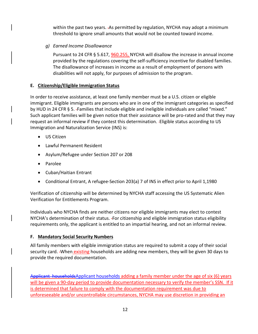within the past two years. - As permitted by regulation, NYCHA may adopt a minimum threshold to ignore small amounts that would not be counted toward income.

*g) Earned Income Disallowance*

Pursuant to 24 CFR § 5.617, 960.255, NYCHA will disallow the increase in annual income provided by the regulations covering the self-sufficiency incentive for disabled families. The disallowance of increases in income as a result of employment of persons with disabilities will not apply, for purposes of admission to the program.

# <span id="page-12-0"></span>**E. Citizenship/Eligible Immigration Status**

In order to receive assistance, at least one family member must be a U.S. citizen or eligible immigrant. Eligible immigrants are persons who are in one of the immigrant categories as specified by HUD in 24 CFR § 5. -Families that include eligible and ineligible individuals are called "mixed." Such applicant families will be given notice that their assistance will be pro-rated and that they may request an informal review if they contest this determination. Eligible status according to US Immigration and Naturalization Service (INS) is:

- US Citizen
- Lawful Permanent Resident
- Asylum/Refugee under Section 207 or 208
- Parolee
- Cuban/Haitian Entrant
- Conditional Entrant, A refugee-Section 203(a) 7 of INS in effect prior to April 1,1980

Verification of citizenship will be determined by NYCHA staff accessing the US Systematic Alien Verification for Entitlements Program.

Individuals who NYCHA finds are neither citizens nor eligible immigrants may elect to contest NYCHA's determination of their status. For citizenship and eligible immigration status eligibility requirements only, the applicant is entitled to an impartial hearing, and not an informal review.

# <span id="page-12-1"></span>**F. Mandatory Social Security Numbers**

All family members with eligible immigration status are required to submit a copy of their social security card. When existing households are adding new members, they will be given 30 days to provide the required documentation.

Applicant households Applicant households adding a family member under the age of six (6) years will be given a 90-day period to provide documentation necessary to verify the member's SSN. If it is determined that failure to comply with the documentation requirement was due to unforeseeable and/or uncontrollable circumstances, NYCHA may use discretion in providing an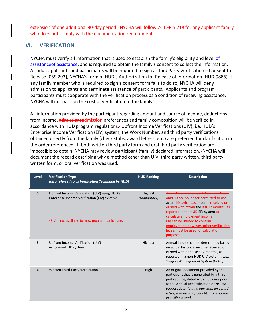extension of one additional 90-day period. NYCHA will follow 24 CFR 5.218 for any applicant family who does not comply with the documentation requirements.

# <span id="page-13-0"></span>**VI. VERIFICATION**

NYCHA must verify all information that is used to establish the family's eligibility and level of assistance of assistance, and is required to obtain the family's consent to collect the information. All adult applicants and participants will be required to sign a Third Party Verification—Consent to Release (059.293), NYCHA's form of HUD's Authorization for Release of Information (HUD-9886). If any family member who is required to sign a consent form fails to do so, NYCHA will deny admission to applicants and terminate assistance of participants. Applicants and program participants must cooperate with the verification process as a condition of receiving assistance. NYCHA will not pass on the cost of verification to the family.

All information provided by the participant regarding amount and source of income, deductions from income, admissionsadmission preferences and family composition will be verified in accordance with HUD program regulations. Upfront Income Verifications (UIV), i.e. HUD's Enterprise Income Verification (EIV) system, the Work Number, and third party verifications obtained directly from the family (check stubs, award letters, etc.) are preferred for clarification in the order referenced. If both written third party form and oral third party verification are impossible to obtain, NYCHA may review participant (family) declared information. -NYCHA will document the record describing why a method other than UIV, third party written, third party written form, or oral verification was used.

| <b>Level</b> | <b>Verification Type</b><br>(also referred to as Verification Technique by HUD)                                                                      | <b>HUD Ranking</b>     | <b>Description</b>                                                                                                                                                                                                                                                                                                                                                           |
|--------------|------------------------------------------------------------------------------------------------------------------------------------------------------|------------------------|------------------------------------------------------------------------------------------------------------------------------------------------------------------------------------------------------------------------------------------------------------------------------------------------------------------------------------------------------------------------------|
| 6            | Upfront Income Verification (UIV) using HUD's<br>Enterprise Income Verification (EIV) system*<br>*EIV is not available for new program participants. | Highest<br>(Mandatory) | Annual Income can be determined based<br>enPHAs are no longer permitted to use<br>actual historicalpast income received or<br>earned withinfrom the last 12 months, as<br>reported in the HUD-EIV system to<br>calculate employment income.<br>EIV can be utilized to confirm<br>employment; however, other verification<br>levels must be used for calculation<br>purposes. |
| 5            | Upfront Income Verification (UIV)<br>using non-HUD system                                                                                            | <b>Highest</b>         | Annual Income can be determined based<br>on actual historical income received or<br>earned within the last 12 months, as<br>reported in a non-HUD UIV system. (e.g.,<br>Welfare Management System (WMS))                                                                                                                                                                     |
| 4            | Written Third-Party Verification                                                                                                                     | High                   | An original document provided by the<br>participant that is generated by a third-<br>party source, dated within 60 days prior<br>to the Annual Recertification or NYCHA<br>request date. (e.g., a pay stub, an award<br>letter, a printout of benefits, as reported<br>in a UIV system)                                                                                      |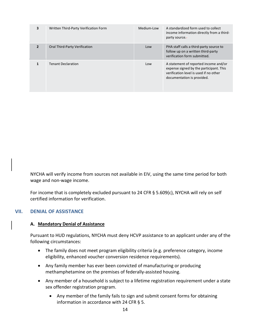| 3              | Written Third-Party Verification Form | Medium-Low | A standardized form used to collect<br>income information directly from a third-<br>party source.-                                                       |
|----------------|---------------------------------------|------------|----------------------------------------------------------------------------------------------------------------------------------------------------------|
| $\overline{2}$ | Oral Third-Party Verification         | Low        | PHA staff calls a third-party source to<br>follow up on a written third-party<br>verification form submitted.                                            |
|                | <b>Tenant Declaration</b>             | Low        | A statement of reported income and/or<br>expense signed by the participant. This<br>verification level is used if no other<br>documentation is provided. |

NYCHA will verify income from sources not available in EIV, using the same time period for both wage and non-wage income.

For income that is completely excluded pursuant to 24 CFR § 5.609(c), NYCHA will rely on self certified information for verification.

# <span id="page-14-1"></span><span id="page-14-0"></span>**VII. DENIAL OF ASSISTANCE**

#### **A. Mandatory Denial of Assistance**

Pursuant to HUD regulations, NYCHA must deny HCVP assistance to an applicant under any of the following circumstances:

- The family does not meet program eligibility criteria (e.g. preference category, income eligibility, enhanced voucher conversion residence requirements).
- Any family member has ever been convicted of manufacturing or producing methamphetamine on the premises of federally-assisted housing.
- Any member of a household is subject to a lifetime registration requirement under a state sex offender registration program.
	- Any member of the family fails to sign and submit consent forms for obtaining information in accordance with 24 CFR § 5.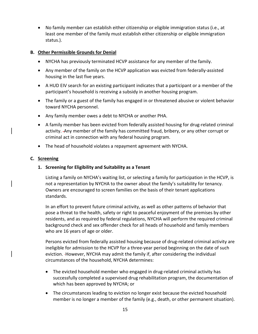• No family member can establish either citizenship or eligible immigration status (i.e., at least one member of the family must establish either citizenship or eligible immigration status.).

#### <span id="page-15-0"></span>**B. Other Permissible Grounds for Denial**

- NYCHA has previously terminated HCVP assistance for any member of the family.
- Any member of the family on the HCVP application was evicted from federally-assisted housing in the last five years.
- A HUD EIV search for an existing participant indicates that a participant or a member of the participant's household is receiving a subsidy in another housing program.
- The family or a guest of the family has engaged in or threatened abusive or violent behavior toward NYCHA personnel.
- Any family member owes a debt to NYCHA or another PHA.
- A family member has been evicted from federally assisted housing for drug-related criminal activity. Any member of the family has committed fraud, bribery, or any other corrupt or criminal act in connection with any federal housing program.
- The head of household violates a repayment agreement with NYCHA.

#### <span id="page-15-1"></span>**C. Screening**

#### **1. Screening for Eligibility and Suitability as a Tenant**

Listing a family on NYCHA's waiting list, or selecting a family for participation in the HCVP, is not a representation by NYCHA to the owner about the family's suitability for tenancy. Owners are encouraged to screen families on the basis of their tenant applications standards.

In an effort to prevent future criminal activity, as well as other patterns of behavior that pose a threat to the health, safety or right to peaceful enjoyment of the premises by other residents, and as required by federal regulations, NYCHA will perform the required criminal background check and sex offender check for all heads of household and family members who are 16 years of age or older.

Persons evicted from federally assisted housing because of drug-related criminal activity are ineligible for admission to the HCVP for a three-year period beginning on the date of such eviction. However, NYCHA may admit the family if, after considering the individual circumstances of the household, NYCHA determines:

- The evicted household member who engaged in drug-related criminal activity has successfully completed a supervised drug rehabilitation program, the documentation of which has been approved by NYCHA; or
- The circumstances leading to eviction no longer exist because the evicted household member is no longer a member of the family (e.g., death, or other permanent situation).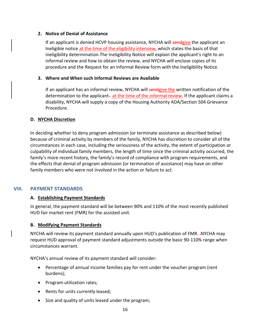#### **2. Notice of Denial of Assistance**

If an applicant is denied HCVP housing assistance, NYCHA will sendgive the applicant an Ineligible notice at the time of the eligibility interview, which states the basis of that ineligibility determination.The Ineligibility Notice will explain the applicant's right to an informal review and how to obtain the review, and NYCHA will enclose copies of its procedure and the Request for an Informal Review form with the Ineligibility Notice.

#### **3. Where and When such Informal Reviews are Available**

If an applicant has an informal review, NYCHA will sendgive the written notification of the determination to the applicant—at the time of the informal review. If the applicant claims a disability, NYCHA will supply a copy of the Housing Authority ADA/Section 504 Grievance Procedure.

#### <span id="page-16-0"></span>**D. NYCHA Discretion**

In deciding whether to deny program admission (or terminate assistance as described below) because of criminal activity by members of the family, NYCHA has discretion to consider all of the circumstances in each case, including the seriousness of the activity, the extent of participation or culpability of individual family members, the length of time since the criminal activity occurred, the family's more recent history, the family's record of compliance with program requirements, and the effects that denial of program admission (or termination of assistance) may have on other family members who were not involved in the action or failure to act.

#### <span id="page-16-2"></span><span id="page-16-1"></span>**VIII. PAYMENT STANDARDS**

#### **A. Establishing Payment Standards**

In general, the payment standard will be between 90% and 110% of the most recently published HUD fair market rent (FMR) for the assisted unit.

#### <span id="page-16-3"></span>**B. Modifying Payment Standards**

NYCHA will review its payment standard annually upon HUD's publication of FMR. -NYCHA may request HUD approval of payment standard adjustments outside the basic 90-110% range when circumstances warrant.

NYCHA's annual review of its payment standard will consider:

- Percentage of annual income families pay for rent under the voucher program (rent burdens);
- Program utilization rates;
- Rents for units currently leased;
- Size and quality of units leased under the program;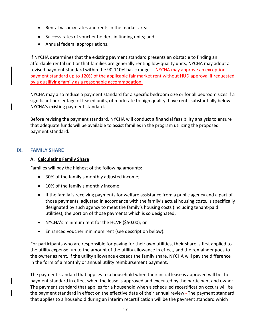- Rental vacancy rates and rents in the market area;
- Success rates of voucher holders in finding units; and
- Annual federal appropriations.

If NYCHA determines that the existing payment standard presents an obstacle to finding an affordable rental unit or that families are generally renting low-quality units, NYCHA may adopt a revised payment standard within the 90-110% basic range.  $-NYCHA$  may approve an exception payment standard up to 120% of the applicable fair market rent without HUD approval if requested by a qualifying family as a reasonable accommodation.

NYCHA may also reduce a payment standard for a specific bedroom size or for all bedroom sizes if a significant percentage of leased units, of moderate to high quality, have rents substantially below NYCHA's existing payment standard.

Before revising the payment standard, NYCHA will conduct a financial feasibility analysis to ensure that adequate funds will be available to assist families in the program utilizing the proposed payment standard.

#### <span id="page-17-1"></span><span id="page-17-0"></span>**IX. FAMILY SHARE**

#### **A. Calculating Family Share**

Families will pay the highest of the following amounts:

- 30% of the family's monthly adjusted income;
- 10% of the family's monthly income;
- If the family is receiving payments for welfare assistance from a public agency and a part of those payments, adjusted in accordance with the family's actual housing costs, is specifically designated by such agency to meet the family's housing costs (including tenant-paid utilities), the portion of those payments which is so designated;
- NYCHA's minimum rent for the HCVP (\$50.00); or
- Enhanced voucher minimum rent (see description below).

For participants who are responsible for paying for their own utilities, their share is first applied to the utility expense, up to the amount of the utility allowance in effect, and the remainder goes to the owner as rent. If the utility allowance exceeds the family share, NYCHA will pay the difference in the form of a monthly or annual utility reimbursement payment.

The payment standard that applies to a household when their initial lease is approved will be the payment standard in effect when the lease is approved and executed by the participant and owner. The payment standard that applies for a household when a scheduled recertification occurs will be the payment standard in effect on the effective date of their annual review. The payment standard that applies to a household during an interim recertification will be the payment standard which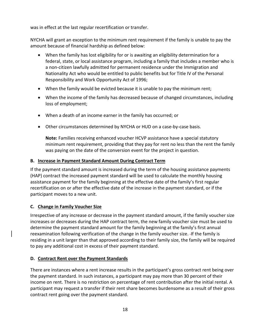was in effect at the last regular recertification or transfer.

NYCHA will grant an exception to the minimum rent requirement if the family is unable to pay the amount because of financial hardship as defined below:

- When the family has lost eligibility for or is awaiting an eligibility determination for a federal, state, or local assistance program, including a family that includes a member who is a non-citizen lawfully admitted for permanent residence under the Immigration and Nationality Act who would be entitled to public benefits but for Title IV of the Personal Responsibility and Work Opportunity Act of 1996;
- When the family would be evicted because it is unable to pay the minimum rent;
- When the income of the family has decreased because of changed circumstances, including loss of employment;
- When a death of an income earner in the family has occurred; or
- Other circumstances determined by NYCHA or HUD on a case-by-case basis.

**Note:** Families receiving enhanced voucher HCVP assistance have a special statutory minimum rent requirement, providing that they pay for rent no less than the rent the family was paying on the date of the conversion event for the project in question.

# <span id="page-18-0"></span>**B. Increase in Payment Standard Amount During Contract Term**

If the payment standard amount is increased during the term of the housing assistance payments (HAP) contract the increased payment standard will be used to calculate the monthly housing assistance payment for the family beginning at the effective date of the family's first regular recertification on or after the effective date of the increase in the payment standard, or if the participant moves to a new unit.

# <span id="page-18-1"></span>**C. Change in Family Voucher Size**

Irrespective of any increase or decrease in the payment standard amount, if the family voucher size increases or decreases during the HAP contract term, the new family voucher size must be used to determine the payment standard amount for the family beginning at the family's first annual reexamination following verification of the change in the family voucher size. If the family is residing in a unit larger than that approved according to their family size, the family will be required to pay any additional cost in excess of their payment standard.

# **D. Contract Rent over the Payment Standards**

There are instances where a rent increase results in the participant's gross contract rent being over the payment standard. In such instances, a participant may pay more than 30 percent of their income on rent. There is no restriction on percentage of rent contribution after the initial rental. A participant may request a transfer if their rent share becomes burdensome as a result of their gross contract rent going over the payment standard.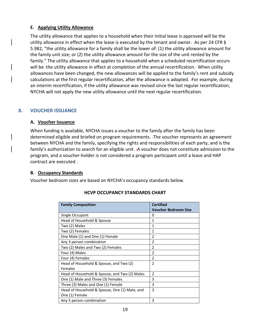#### <span id="page-19-0"></span>**E. Applying Utility Allowance**

The utility allowance that applies to a household when their initial lease is approved will be the utility allowance in effect when the lease is executed by the tenant and owner. - As per 24 CFR § 5.982, "the utility allowance for a family shall be the lower of: (1) the utility allowance amount for the family unit size; or (2) the utility allowance amount for the size of the unit rented by the family." The utility allowance that applies to a household when a scheduled recertification occurs will be -the utility allowance in effect at completion of the annual recertification. When utility allowances have been changed, the new allowances will be applied to the family's rent and subsidy calculations at the first regular recertification, after the allowance is adopted. For example, during an interim recertification, if the utility allowance was revised since the last regular recertification, NYCHA will not apply the new utility allowance until the next regular recertification.

# <span id="page-19-2"></span><span id="page-19-1"></span>**X. VOUCHER ISSUANCE**

#### **A. Voucher Issuance**

When funding is available, NYCHA issues a voucher to the family after the family has been determined eligible and briefed on program requirements. The voucher represents an agreement between NYCHA and the family, specifying the rights and responsibilities of each party, and is the family's authorization to search for an eligible unit. A voucher does not constitute admission to the program, and a voucher-holder is not considered a program participant until a lease and HAP contract are executed .

#### <span id="page-19-3"></span>**B. Occupancy Standards**

Voucher bedroom sizes are based on NYCHA's occupancy standards below.

| <b>Family Composition</b>                     | <b>Certified</b>            |
|-----------------------------------------------|-----------------------------|
|                                               | <b>Voucher Bedroom Size</b> |
| Single Occupant                               | 0                           |
| Head of Household & Spouse                    | 1                           |
| Two (2) Males                                 | 1                           |
| Two (2) Females                               | 1                           |
| One Male (1) and One (1) Female               | $\overline{\phantom{a}}$    |
| Any 3 person combination                      | $\overline{\phantom{a}}$    |
| Two (2) Males and Two (2) Females             | $\overline{2}$              |
| Four (4) Males                                | $\mathfrak{p}$              |
| Four (4) Females                              | $\overline{2}$              |
| Head of Household & Spouse, and Two (2)       | $\overline{2}$              |
| Females                                       |                             |
| Head of Household & Spouse, and Two (2) Males | $\mathfrak{p}$              |
| One (1) Male and Three (3) Females            | 3                           |
| Three (3) Males and One (1) Female            | 3                           |
| Head of Household & Spouse, One (1) Male, and | 3                           |
| One (1) Female                                |                             |
| Any 5 person combination                      | 3                           |

#### **HCVP OCCUPANCY STANDARDS CHART**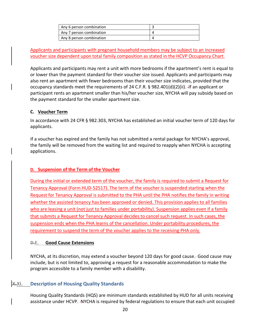| Any 6 person combination |  |
|--------------------------|--|
| Any 7 person combination |  |
| Any 8 person combination |  |

Applicants and participants with pregnant household members may be subject to an increased voucher size dependent upon total family composition as stated in the HCVP Occupancy Chart.

Applicants and participants may rent a unit with more bedrooms if the apartment's rent is equal to or lower than the payment standard for their voucher size issued. Applicants and participants may also rent an apartment with fewer bedrooms than their voucher size indicates, provided that the occupancy standards meet the requirements of 24 C.F.R. § 982.401(d)(2)(ii). If an applicant or participant rents an apartment smaller than his/her voucher size, NYCHA will pay subsidy based on the payment standard for the smaller apartment size.

#### <span id="page-20-0"></span>**C. Voucher Term**

In accordance with 24 CFR § 982.303, NYCHA has established an initial voucher term of 120 days for applicants.

If a voucher has expired and the family has not submitted a rental package for NYCHA's approval, the family will be removed from the waiting list and required to reapply when NYCHA is accepting applications.

#### **D. Suspension of the Term of the Voucher**

During the initial or extended term of the voucher, the family is required to submit a Request for Tenancy Approval (Form HUD-52517). The term of the voucher is suspended starting when the Request for Tenancy Approval is submitted to the PHA until the PHA notifies the family in writing whether the assisted tenancy has been approved or denied. This provision applies to all families who are leasing a unit (not just to families under portability). Suspension applies even if a family that submits a Request for Tenancy Approval decides to cancel such request. In such cases, the suspension ends when the PHA learns of the cancellation. Under portability procedures, the requirement to suspend the term of the voucher applies to the receiving PHA only.

#### <span id="page-20-1"></span>**D.E. Good Cause Extensions**

NYCHA, at its discretion, may extend a voucher beyond 120 days for good cause. Good cause may include, but is not limited to, approving a request for a reasonable accommodation to make the program accessible to a family member with a disability.

# <span id="page-20-2"></span>**X.XI. Description of Housing Quality Standards**

Housing Quality Standards (HQS) are minimum standards established by HUD for all units receiving assistance under HCVP. NYCHA is required by federal regulations to ensure that each unit occupied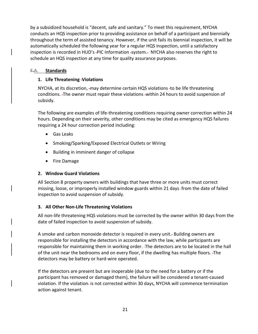by a subsidized household is "decent, safe and sanitary." To meet this requirement, NYCHA conducts an HQS inspection prior to providing assistance on behalf of a participant and biennially throughout the term of assisted tenancy. However, if the unit fails its biennial inspection, it will be automatically scheduled the following year for a regular HQS inspection, until a satisfactory inspection is recorded in HUD's -PIC Information -system. NYCHA also reserves the right to schedule an HQS inspection at any time for quality assurance purposes.

#### <span id="page-21-0"></span>**F.A. Standards**

#### **1. Life Threatening Violations**

NYCHA, at its discretion, -may determine certain HQS violations -to be life threatening conditions. The owner must repair these violations within 24 hours to avoid suspension of subsidy.

The following are examples of life-threatening conditions requiring owner correction within 24 hours. Depending on their severity, other conditions may be cited as emergency HQS failures requiring a 24 hour correction period including:

- Gas Leaks
- Smoking/Sparking/Exposed Electrical Outlets or Wiring
- Building in imminent danger of collapse
- Fire Damage

#### **2. Window Guard Violations**

All Section 8 property owners with buildings that have three or more units must correct missing, loose, or improperly installed window guards within 21 days -from the date of failed inspection to avoid suspension of subsidy.

#### **3. All Other Non-Life Threatening Violations**

All non-life threatening HQS violations must be corrected by the owner within 30 days from the date of failed inspection to avoid suspension of subsidy.

A smoke and carbon monoxide detector is required in every unit. Building owners are responsible for installing the detectors in accordance with the law, while participants are responsible for maintaining them in working order. The detectors are to be located in the hall of the unit near the bedrooms and on every floor, if the dwelling has multiple floors. The detectors may be battery or hard-wire operated.

If the detectors are present but are inoperable (due to the need for a battery or if the participant has removed or damaged them), the failure will be considered a tenant-caused violation. If the violation- is not corrected within 30 days, NYCHA will commence termination action against tenant.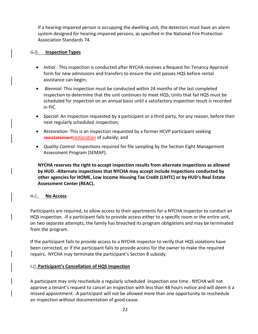If a hearing-impaired person is occupying the dwelling unit, the detectors must have an alarm system designed for hearing-impaired persons, as specified in the National Fire Protection Association Standards 74.

#### <span id="page-22-0"></span>**G.B. Inspection Types**

- *Initial :* This inspection is conducted after NYCHA receives a Request for Tenancy Approval form for new admissions and transfers to ensure the unit passes HQS before rental assistance can begin;
- *Biennial:* This inspection must be conducted within 24 months of the last completed inspection to determine that the unit continues to meet HQS; Units that fail HQS must be scheduled for inspection on an annual basis until a satisfactory inspection result is recorded in PIC.
- *Special:* An inspection requested by a participant or a third party, for any reason, before their next regularly scheduled -inspection;
- *Restoration:* This is an inspection requested by a former HCVP participant seeking reinstatementrestoration of subsidy; and
- *Quality Control:* Inspections required for file sampling by the Section Eight Management Assessment Program (SEMAP).

**NYCHA reserves the right to accept inspection results from alternate inspections as allowed by HUD. Alternate inspections that NYCHA may accept include inspections conducted by other agencies for HOME, Low Income Housing Tax Credit (LIHTC) or by HUD's Real Estate Assessment Center (REAC).**

#### <span id="page-22-1"></span>**H.C. No Access**

Participants are required, to allow access to their apartments for a NYCHA inspector to conduct an HQS inspection. If a participant fails to provide access either to a specific room or the entire unit, on two separate attempts, the family has breached its program obligations and may be terminated from the program.

If the participant fails to provide access to a NYCHA inspector to verify that HQS violations have been corrected, or if the participant fails to provide access for the owner to make the required repairs, NYCHA may terminate the participant's Section 8 subsidy.

#### <span id="page-22-2"></span>**I.D.Participant's Cancellation of HQS Inspection**

A participant may only reschedule a regularly scheduled -inspection one time.- NYCHA will not approve a tenant's request to cancel an inspection with less than 48 hours notice and will deem it a missed appointment. A participant will not be allowed more than one opportunity to reschedule an inspection without documentation of good cause.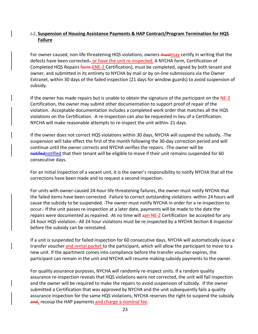# <span id="page-23-0"></span>**J.E. Suspension of Housing Assistance Payments & HAP Contract/Program Termination for HQS Failure**

For owner-caused, non-life threatening HQS violations, owners **mustmay** certify in writing that the defects have been corrected— or have the unit re-inspected. A NYCHA form, Certification of Completed HQS Repairs form  $(NE-2$  Certification), must be completed, signed by both tenant and owner, and submitted in its entirety to NYCHA by mail or by on-line submissions via the Owner Extranet, within 30 days of the failed inspection (21 days for window guards) to avoid suspension of subsidy.

If the owner has made repairs but is unable to obtain the signature of the participant on the NE-2 Certification, the owner may submit other documentation to support proof of repair of the violation. Acceptable documentation includes a completed work order that matches all the HQS violations on the Certification. - A re-inspection can also be requested in lieu of a Certification. NYCHA will make reasonable attempts to re-inspect the unit within-21 days.

If the owner does not correct HQS violations within 30 days, NYCHA will suspend the subsidy. The suspension will take effect the first of the month following the 30-day correction period and will continue until the owner corrects and NYCHA verifies the repairs. The owner will be notified that their tenant will be eligible to move if their unit remains suspended for 60 consecutive days.

For an initial inspection of a vacant unit, it is the owner's responsibility to notify NYCHA that all the corrections have been made and to request a second inspection.

For units with owner-caused 24-hour life threatening failures, the owner must notify NYCHA that the failed items have been corrected. -Failure to correct outstanding violations -within 24 hours will cause the subsidy to be suspended. The owner must notify NYCHA in order for a re-inspection to occur. If the unit passes re-inspection at a later date, payments will be made to the date the repairs were documented as repaired. - At no time will aan NE-2 Certification - be accepted for any 24 hour HQS violation. All 24 hour violations must be re-inspected by a NYCHA Section 8 inspector before the subsidy can be reinstated.

If a unit is suspended for failed inspection for 60 consecutive days, NYCHA will automatically issue a transfer voucher and rental packet to the participant, which will allow the participant to move to a new unit. If the apartment comes into compliance before the transfer voucher expires, the participant can remain in the unit and NYCHA will resume making subsidy payments to the owner.

For quality assurance purposes, NYCHA will randomly re-inspect units. If a random quality assurance re-inspection reveals that HQS violations were not corrected, the unit will fail inspection and the owner will be required to make the repairs to avoid suspension of subsidy. -If the owner submitted a Certification that was approved by NYCHA and the unit subsequently fails a quality assurance inspection for the same HQS violations, NYCHA reserves the right to suspend the subsidy and, recoup the HAP payments and charge a nominal fee.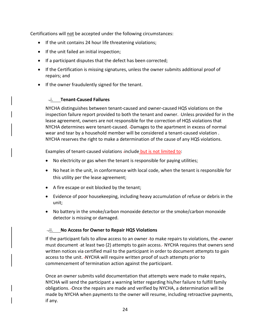Certifications will not be accepted under the following circumstances:

- If the unit contains 24 hour life threatening violations;
- If the unit failed an initial inspection;
- If a participant disputes that the defect has been corrected;
- If the Certification is missing signatures, unless the owner submits additional proof of repairs; and
- If the owner fraudulently signed for the tenant.

# **.i. Tenant-Caused Failures**

NYCHA distinguishes between tenant-caused and owner-caused HQS violations on the inspection failure report provided to both the tenant and owner. Unless provided for in the lease agreement, owners are not responsible for the correction of HQS violations that NYCHA determines were tenant-caused. Damages to the apartment in excess of normal wear and tear by a household member will be considered a tenant-caused violation . NYCHA reserves the right to make a determination of the cause of any HQS violations.

Examples of tenant-caused violations -include but is not limited to:

- No electricity or gas when the tenant is responsible for paying utilities;
- No heat in the unit, in conformance with local code, when the tenant is responsible for this utility per the lease agreement;
- A fire escape or exit blocked by the tenant;
- Evidence of poor housekeeping, including heavy accumulation of refuse or debris in the unit;
- No battery in the smoke/carbon monoxide detector or the smoke/carbon monoxide detector is missing or damaged.

#### **.ii. No Access for Owner to Repair HQS Violations**

If the participant fails to allow access to an owner -to make repairs to violations, the -owner must document at least two (2) attempts to gain access. NYCHA requires that owners send written notices via certified mail to the participant in order to document attempts to gain access to the unit. -NYCHA will require written proof of such attempts prior to commencement of termination action against the participant.

Once an owner submits valid documentation that attempts were made to make repairs, NYCHA will send the participant a warning letter regarding his/her failure to fulfill family obligations. Once the repairs are made and verified by NYCHA, a determination will be made by NYCHA when payments to the owner will resume, including retroactive payments, if any.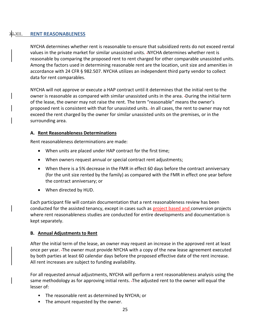### <span id="page-25-0"></span>**XI.XII. RENT REASONABLENESS**

NYCHA determines whether rent is reasonable to ensure that subsidized rents do not exceed rental values in the private market for similar unassisted units. NYCHA determines whether rent is reasonable by comparing the proposed rent to rent charged for other comparable unassisted units. Among the factors used in determining reasonable rent are the location, unit size and amenities in accordance with 24 CFR § 982.507. NYCHA utilizes an independent third party vendor to collect data for rent comparables.

NYCHA will not approve or execute a HAP contract until it determines that the initial rent to the owner is reasonable as compared with similar unassisted units in the area. During the initial term of the lease, the owner may not raise the rent. The term "reasonable" means the owner's proposed rent is consistent with that for unassisted units. In all cases, the rent to owner may not exceed the rent charged by the owner for similar unassisted units on the premises, or in the surrounding area.

#### <span id="page-25-1"></span>**A. Rent Reasonableness Determinations**

Rent reasonableness determinations are made:

- When units are placed under HAP contract for the first time;
- When owners request annual or special contract rent adjustments;
- When there is a 5% decrease in the FMR in effect 60 days before the contract anniversary (for the unit size rented by the family) as compared with the FMR in effect one year before the contract anniversary; or
- When directed by HUD.

Each participant file will contain documentation that a rent reasonableness review has been conducted for the assisted tenancy, except in cases such as project based and conversion projects where rent reasonableness studies are conducted for entire developments and documentation is kept separately.

#### **B. Annual Adjustments to Rent**

After the initial term of the lease, an owner may request an increase in the approved rent at least once per year. The owner must provide NYCHA with a copy of the new lease agreement executed by both parties at least 60 calendar days before the proposed effective date of the rent increase. All rent increases are subject to funding availability.

For all requested annual adjustments, NYCHA will perform a rent reasonableness analysis using the same methodology as for approving initial rents. The adjusted rent to the owner will equal the lesser of:

- The reasonable rent as determined by NYCHA; or
- The amount requested by the owner.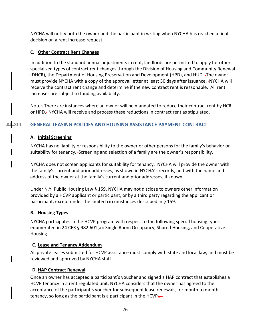NYCHA will notify both the owner and the participant in writing when NYCHA has reached a final decision on a rent increase request.

# **C. Other Contract Rent Changes**

In addition to the standard annual adjustments in rent, landlords are permitted to apply for other specialized types of contract rent changes through the Division of Housing and Community Renewal (DHCR), the Department of Housing Preservation and Development (HPD), and HUD. The owner must provide NYCHA with a copy of the approval letter at least 30 days after issuance. -NYCHA will receive the contract rent change and determine if the new contract rent is reasonable. All rent increases are subject to funding availability.

Note: There are instances where an owner will be mandated to reduce their contract rent by HCR or HPD. NYCHA will receive and process these reductions in contract rent as stipulated.

# <span id="page-26-1"></span><span id="page-26-0"></span>**XII.XIII. GENERAL LEASING POLICIES AND HOUSING ASSISTANCE PAYMENT CONTRACT**

#### **A. Initial Screening**

NYCHA has no liability or responsibility to the owner or other persons for the family's behavior or suitability for tenancy. Screening and selection of a family are the owner's responsibility.

NYCHA does not screen applicants for suitability for tenancy. NYCHA will provide the owner with the family's current and prior addresses, as shown in NYCHA's records, and with the name and address of the owner at the family's current and prior addresses, if known.

Under N.Y. Public Housing Law § 159, NYCHA may not disclose to owners other information provided by a HCVP applicant or participant, or by a third party regarding the applicant or participant, except under the limited circumstances described in § 159.

#### <span id="page-26-2"></span>**B. Housing Types**

NYCHA participates in the HCVP program with respect to the following special housing types enumerated in 24 CFR § 982.601(a): Single Room Occupancy, Shared Housing, and Cooperative Housing.

#### <span id="page-26-3"></span>**C. Lease and Tenancy Addendum**

All private leases submitted for HCVP assistance must comply with state and local law, and must be reviewed and approved by NYCHA staff.

#### <span id="page-26-4"></span>**D. HAP Contract Renewal**

Once an owner has accepted a participant's voucher and signed a HAP contract that establishes a HCVP tenancy in a rent regulated unit, NYCHA considers that the owner has agreed to the acceptance of the participant's voucher for subsequent lease renewals, -or month to month tenancy, so long as the participant is a participant in the HCVP $\frac{1}{n+1}$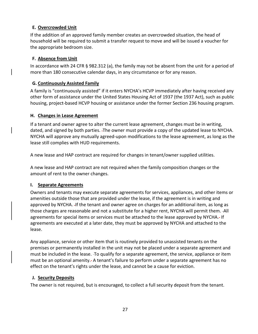# <span id="page-27-0"></span>**E. Overcrowded Unit**

If the addition of an approved family member creates an overcrowded situation, the head of household will be required to submit a transfer request to move and will be issued a voucher for the appropriate bedroom size.

#### <span id="page-27-1"></span>**F. Absence from Unit**

In accordance with 24 CFR § 982.312 (a), the family may not be absent from the unit for a period of more than 180 consecutive calendar days, in any circumstance or for any reason.

#### <span id="page-27-2"></span>**G. Continuously Assisted Family**

A family is "continuously assisted" if it enters NYCHA's HCVP immediately after having received any other form of assistance under the United States Housing Act of 1937 (the 1937 Act), such as public housing, project-based HCVP housing or assistance under the former Section 236 housing program.

#### **H. Changes in Lease Agreement**

If a tenant and owner agree to alter the current lease agreement, changes must be in writing, dated, and signed by both parties. The owner must provide a copy of the updated lease to NYCHA. NYCHA will approve any mutually agreed-upon modifications to the lease agreement, as long as the lease still complies with HUD requirements.

A new lease and HAP contract are required for changes in tenant/owner supplied utilities.

A new lease and HAP contract are not required when the family composition changes or the amount of rent to the owner changes.

#### <span id="page-27-3"></span>**I. Separate Agreements**

Owners and tenants may execute separate agreements for services, appliances, and other items or amenities outside those that are provided under the lease, if the agreement is in writing and approved by NYCHA. If the tenant and owner agree on charges for an additional item, as long as those charges are reasonable and not a substitute for a higher rent, NYCHA will permit them. - All agreements for special items or services must be attached to the lease approved by NYCHA. If agreements are executed at a later date, they must be approved by NYCHA and attached to the lease.

Any appliance, service or other item that is routinely provided to unassisted tenants on the premises or permanently installed in the unit may not be placed under a separate agreement and must be included in the lease. To qualify for a separate agreement, the service, appliance or item must be an optional amenity. A tenant's failure to perform under a separate agreement has no effect on the tenant's rights under the lease, and cannot be a cause for eviction.

#### <span id="page-27-4"></span>**J. Security Deposits**

The owner is not required, but is encouraged, to collect a full security deposit from the tenant.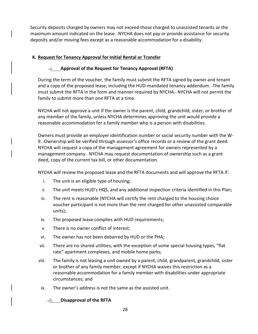Security deposits charged by owners may not exceed those charged to unassisted tenants or the maximum amount indicated on the lease. NYCHA does not pay or provide assistance for security deposits and/or moving fees except as a reasonable accommodation for a disability.

#### <span id="page-28-0"></span>**K. Request for Tenancy Approval for Initial Rental or Transfer**

# **.i. Approval of the Request for Tenancy Approval (RFTA)**

During the term of the voucher, the family must submit the RFTA signed by owner and tenant and a copy of the proposed lease, including the HUD-mandated tenancy addendum. The family must submit the RFTA in the form and manner required by NYCHA. NYCHA will not permit the family to submit more than one RFTA at a time.

NYCHA will not approve a unit if the owner is the parent, child, grandchild, sister, or brother of any member of the family, unless NYCHA determines approving the unit would provide a reasonable accommodation for a family member who is a person with disabilities.

Owners must provide an employer identification number or social security number with the W-9. Ownership will be verified through assessor's office records or a review of the grant deed. NYCHA will request a copy of the management agreement for owners represented by a management company. NYCHA may request documentation of ownership such as a grant deed, copy of the current tax bill, or other documentation.

NYCHA will review the proposed lease and the RFTA documents and will approve the RFTA if:

- i. The unit is an eligible type of housing;
- ii. The unit meets HUD's HQS, and any additional inspection criteria identified in this Plan;
- iii. The rent is reasonable (NYCHA will certify the rent charged to the housing choice voucher participant is not more than the rent charged for other unassisted comparable units);
- iv. The proposed lease complies with HUD requirements;
- v. There is no owner conflict of interest;
- vi. The owner has not been debarred by HUD or the PHA;
- vii. There are no shared utilities, with the exception of some special housing types, "flat rate" apartment complexes, and mobile home parks;
- viii. The family is not leasing a unit owned by a parent, child, grandparent, grandchild, sister or brother of any family member, except if NYCHA waives this restriction as a reasonable accommodation for a family member with disabilities under appropriate circumstances; and
- ix. The owner's address is not the same as the assisted unit.

**.ii. Disapproval of the RFTA**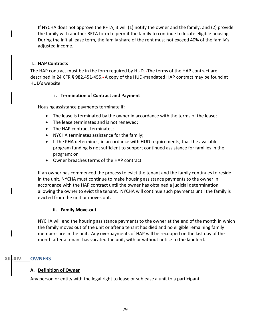If NYCHA does not approve the RFTA, it will (1) notify the owner and the family; and (2) provide the family with another RFTA form to permit the family to continue to locate eligible housing. During the initial lease term, the family share of the rent must not exceed 40% of the family's adjusted income.

# <span id="page-29-0"></span>**L. HAP Contracts**

The HAP contract must be in the form required by HUD. The terms of the HAP contract are described in 24 CFR § 982.451-455. A copy of the HUD-mandated HAP contract may be found at HUD's website.

# **i. Termination of Contract and Payment**

Housing assistance payments terminate if:

- The lease is terminated by the owner in accordance with the terms of the lease;
- The lease terminates and is not renewed;
- The HAP contract terminates;
- NYCHA terminates assistance for the family;
- If the PHA determines, in accordance with HUD requirements, that the available program funding is not sufficient to support continued assistance for families in the program; or
- Owner breaches terms of the HAP contract.

If an owner has commenced the process to evict the tenant and the family continues to reside in the unit, NYCHA must continue to make housing assistance payments to the owner in accordance with the HAP contract until the owner has obtained a judicial determination allowing the owner to evict the tenant. -NYCHA will continue such payments until the family is evicted from the unit or moves out.

#### **ii. Family Move-out**

NYCHA will end the housing assistance payments to the owner at the end of the month in which the family moves out of the unit or after a tenant has died and no eligible remaining family members are in the unit. Any overpayments of HAP will be recouped on the last day of the month after a tenant has vacated the unit, with or without notice to the landlord.

#### <span id="page-29-2"></span><span id="page-29-1"></span>**XIV. OWNERS**

#### **A. Definition of Owner**

Any person or entity with the legal right to lease or sublease a unit to a participant.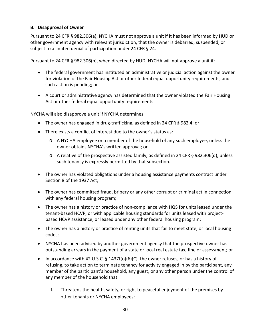# <span id="page-30-0"></span>**B. Disapproval of Owner**

Pursuant to 24 CFR § 982.306(a), NYCHA must not approve a unit if it has been informed by HUD or other government agency with relevant jurisdiction, that the owner is debarred, suspended, or subject to a limited denial of participation under 24 CFR § 24.

Pursuant to 24 CFR § 982.306(b), when directed by HUD, NYCHA will not approve a unit if:

- The federal government has instituted an administrative or judicial action against the owner for violation of the Fair Housing Act or other federal equal opportunity requirements, and such action is pending; or
- A court or administrative agency has determined that the owner violated the Fair Housing Act or other federal equal opportunity requirements.

NYCHA will also disapprove a unit if NYCHA determines:

- The owner has engaged in drug-trafficking, as defined in 24 CFR § 982.4; or
- There exists a conflict of interest due to the owner's status as:
	- o A NYCHA employee or a member of the household of any such employee, unless the owner obtains NYCHA's written approval; or
	- o A relative of the prospective assisted family, as defined in 24 CFR § 982.306(d), unless such tenancy is expressly permitted by that subsection.
- The owner has violated obligations under a housing assistance payments contract under Section 8 of the 1937 Act;
- The owner has committed fraud, bribery or any other corrupt or criminal act in connection with any federal housing program;
- The owner has a history or practice of non-compliance with HQS for units leased under the tenant-based HCVP, or with applicable housing standards for units leased with projectbased HCVP assistance, or leased under any other federal housing program;
- The owner has a history or practice of renting units that fail to meet state, or local housing codes;
- NYCHA has been advised by another government agency that the prospective owner has outstanding arrears in the payment of a state or local real estate tax, fine or assessment; or
- In accordance with 42 U.S.C.  $\S$  1437f(o)(6)(C), the owner refuses, or has a history of refusing, to take action to terminate tenancy for activity engaged in by the participant, any member of the participant's household, any guest, or any other person under the control of any member of the household that:
	- i. Threatens the health, safety, or right to peaceful enjoyment of the premises by other tenants or NYCHA employees;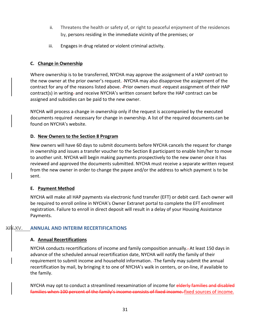- ii. Threatens the health or safety of, or right to peaceful enjoyment of the residences by, persons residing in the immediate vicinity of the premises; or
- iii. Engages in drug related or violent criminal activity.

#### <span id="page-31-0"></span>**C. Change in Ownership**

Where ownership is to be transferred, NYCHA may approve the assignment of a HAP contract to the new owner at the prior owner's request. NYCHA may also disapprove the assignment of the contract for any of the reasons listed above. - Prior owners must -request assignment of their HAP contract(s) in writing- and receive NYCHA's written consent before the HAP contract can be assigned and subsidies can be paid to the new owner.

NYCHA will process a change in ownership only if the request is accompanied by the executed documents required -necessary for change in ownership. A list of the required documents can be found on NYCHA's website.

#### <span id="page-31-1"></span>**D. New Owners to the Section 8 Program**

New owners will have 60 days to submit documents before NYCHA cancels the request for change in ownership and issues a transfer voucher to the Section 8 participant to enable him/her to move to another unit. NYCHA will begin making payments prospectively to the new owner once it has reviewed and approved the documents submitted. NYCHA must receive a separate written request from the new owner in order to change the payee and/or the address to which payment is to be sent.

#### <span id="page-31-2"></span>**E. Payment Method**

NYCHA will make all HAP payments via electronic fund transfer (EFT) or debit card. Each owner will be required to enroll online in NYCHA's Owner Extranet portal to complete the EFT enrollment registration. Failure to enroll in direct deposit will result in a delay of your Housing Assistance Payments.

#### <span id="page-31-4"></span><span id="page-31-3"></span>**ANNUAL AND INTERIM RECERTIFICATIONS**

#### **A. Annual Recertifications**

NYCHA conducts recertifications of income and family composition annually. At least 150 days in advance of the scheduled annual recertification date, NYCHA will notify the family of their requirement to submit income and household information. The family may submit the annual recertification by mail, by bringing it to one of NYCHA's walk in centers, or on-line, if available to the family.

NYCHA may opt to conduct a streamlined reexamination of income for elderly families and disabled families when 100 percent of the family's income consists of fixed income. fixed sources of income.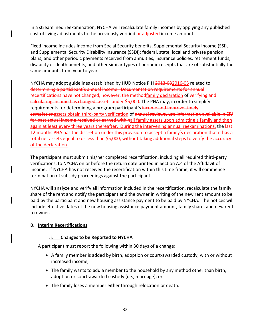In a streamlined reexamination, NYCHA will recalculate family incomes by applying any published cost of living adjustments to the previously verified or adjusted income amount.

Fixed income includes income from Social Security benefits, Supplemental Security Income (SSI), and Supplemental Security Disability Insurance (SSDI); federal, state, local and private pension plans; and other periodic payments received from annuities, insurance policies, retirement funds, disability or death benefits, and other similar types of periodic receipts that are of substantially the same amounts from year to year.

NYCHA may adopt guidelines established by HUD Notice PIH 2013-032016-05 related to determining a participant's annual income. Documentation requirements for annual recertifications have not changed; however, the methodfamily declaration of verifying and calculating income has changed. assets under \$5,000. The PHA may, in order to simplify requirements for determining a program participant's income and improve timely completionassets obtain third-party verification of annual reviews, use information available in EIV for past actual income received or earned withinall family assets upon admitting a family and then again at least every three years thereafter. During the intervening annual reexaminations, the last 12 months. PHA has the discretion under this provision to accept a family's declaration that it has a total net assets equal to or less than \$5,000, without taking additional steps to verify the accuracy of the declaration.

The participant must submit his/her completed recertification, including all required third-party verifications, to NYCHA on or before the return date printed in Section A.4 of the Affidavit of Income. If NYCHA has not received the recertification within this time frame, it will commence termination of subsidy proceedings against the participant.

NYCHA will analyze and verify all information included in the recertification, recalculate the family share of the rent and notify the participant and the owner in writing of the new rent amount to be paid by the participant and new housing assistance payment to be paid by NYCHA. The notices will include effective dates of the new housing assistance payment amount, family share, and new rent to owner.

#### <span id="page-32-0"></span>**B. Interim Recertifications**

#### **.i. Changes to be Reported to NYCHA**

A participant must report the following within 30 days of a change:

- A family member is added by birth, adoption or court-awarded custody, with or without increased income;
- The family wants to add a member to the household by any method other than birth, adoption or court-awarded custody (i.e., marriage); or
- The family loses a member either through relocation or death.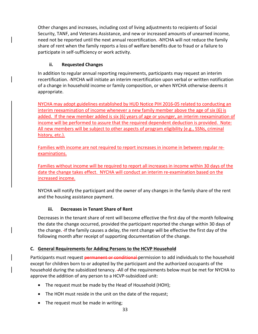Other changes and increases, including cost of living adjustments to recipients of Social Security, TANF, and Veterans Assistance, and new or increased amounts of unearned income, need not be reported until the next annual recertification. NYCHA will not reduce the family share of rent when the family reports a loss of welfare benefits due to fraud or a failure to participate in self-sufficiency or work activity.

# **ii. Requested Changes**

In addition to regular annual reporting requirements, participants may request an interim recertification. NYCHA will initiate an interim recertification upon verbal or written notification of a change in household income or family composition, or when NYCHA otherwise deems it appropriate.

NYCHA may adopt guidelines established by HUD Notice PIH 2016-05 related to conducting an interim reexamination of income whenever a new family member above the age of six (6) is added. If the new member added is six (6) years of age or younger, an interim reexamination of income will be performed to assure that the required dependent deduction is provided. Note: All new members will be subject to other aspects of program eligibility (e.g., SSNs, criminal history, etc.).

Families with income are not required to report increases in income in between regular reexaminations.

Families without income will be required to report all increases in income within 30 days of the date the change takes effect. NYCHA will conduct an interim re-examination based on the increased income.

NYCHA will notify the participant and the owner of any changes in the family share of the rent and the housing assistance payment.

#### **iii. Decreases in Tenant Share of Rent**

Decreases in the tenant share of rent will become effective the first day of the month following the date the change occurred, provided the participant reported the change within 30 days of the change. If the family causes a delay, the rent change will be effective the first day of the following month after receipt of supporting documentation of the change.

#### <span id="page-33-0"></span>**C. General Requirements for Adding Persons to the HCVP Household**

Participants must request permanent or conditional permission to add individuals to the household except for children born to or adopted by the participant and the authorized occupants of the household during the subsidized tenancy. All of the requirements below must be met for NYCHA to approve the addition of any person to a HCVP-subsidized unit:

- The request must be made by the Head of Household (HOH);
- The HOH must reside in the unit on the date of the request;
- The request must be made in writing;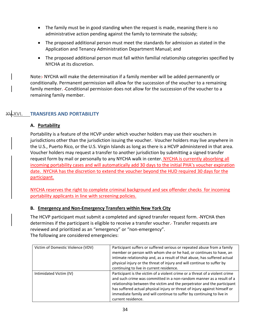- The family must be in good standing when the request is made, meaning there is no administrative action pending against the family to terminate the subsidy;
- The proposed additional person must meet the standards for admission as stated in the Application and Tenancy Administration Department Manual; and
- The proposed additional person must fall within familial relationship categories specified by NYCHA at its discretion.

Note: NYCHA will make the determination if a family member will be added permanently or conditionally. Permanent permission will allow for the succession of the voucher to a remaining family member. Conditional permission does not allow for the succession of the voucher to a remaining family member.

# <span id="page-34-1"></span><span id="page-34-0"></span>**XV.XVI. TRANSFERS AND PORTABILITY**

# **A. Portability**

Portability is a feature of the HCVP under which voucher holders may use their vouchers in jurisdictions other than the jurisdiction issuing the voucher. Voucher holders may live anywhere in the U.S., Puerto Rico, or the U.S. Virgin Islands as long as there is a HCVP administered in that area. Voucher holders may request a transfer to another jurisdiction by submitting a signed transfer request form by mail or personally to any NYCHA walk in center. NYCHA is currently absorbing all incoming portability cases and will automatically add 30 days to the initial PHA's voucher expiration date. NYCHA has the discretion to extend the voucher beyond the HUD required 30 days for the participant.

NYCHA reserves the right to complete criminal background and sex offender checks for incoming portability applicants in line with screening policies.

#### <span id="page-34-2"></span>**B. Emergency and Non-Emergency Transfers within New York City**

The HCVP participant must submit a completed and signed transfer request form. -NYCHA then determines if the participant is eligible to receive a transfer voucher. Transfer requests are reviewed and prioritized as an "emergency" or "non-emergency". The following are considered emergencies:

| Victim of Domestic Violence (VDV) | Participant suffers or suffered serious or repeated abuse from a family<br>member or person with whom she or he had, or continues to have, an<br>intimate relationship and, as a result of that abuse, has suffered actual<br>physical injury or the threat of injury and will continue to suffer by<br>continuing to live in current residence.                                                            |
|-----------------------------------|-------------------------------------------------------------------------------------------------------------------------------------------------------------------------------------------------------------------------------------------------------------------------------------------------------------------------------------------------------------------------------------------------------------|
| Intimidated Victim (IV)           | Participant is the victim of a violent crime or a threat of a violent crime<br>and such crime was committed in a non-random manner as a result of a<br>relationship between the victim and the perpetrator and the participant<br>has suffered actual physical injury or threat of injury against himself or<br>immediate family and will continue to suffer by continuing to live in<br>current residence. |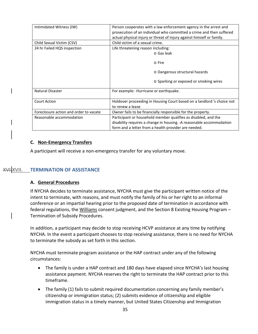| Intimidated Witness (IW)               | Person cooperates with a law enforcement agency in the arrest and      |
|----------------------------------------|------------------------------------------------------------------------|
|                                        | prosecution of an individual who committed a crime and then suffered   |
|                                        |                                                                        |
|                                        | actual physical injury or threat of injury against himself or family.  |
| Child Sexual Victim (CSV)              | Child victim of a sexual crime.                                        |
| 24 hr Failed HQS inspection            | Life threatening reason including:                                     |
|                                        | o Gas leak                                                             |
|                                        | o Fire                                                                 |
|                                        | o Dangerous structural hazards                                         |
|                                        | o Sparking or exposed or smoking wires                                 |
| Natural Disaster                       | For example: -Hurricane or earthquake.                                 |
| <b>Court Action</b>                    | Holdover proceeding in Housing Court based on a landlord 's choice not |
|                                        | to renew a lease                                                       |
| Foreclosure action and order to vacate | Owner fails to be financially responsible for the property.            |
| Reasonable accommodation               | Participant or household member qualifies as disabled, and the         |
|                                        | disability requires a change in housing. - A reasonable accommodation  |
|                                        |                                                                        |
|                                        | form and a letter from a health provider are needed.                   |

#### <span id="page-35-0"></span>**C. Non-Emergency Transfers**

A participant will receive a non-emergency transfer for any voluntary move.

#### <span id="page-35-1"></span>**XVI.XVII. TERMINATION OF ASSISTANCE**

#### <span id="page-35-2"></span>**A. General Procedures**

If NYCHA decides to terminate assistance, NYCHA must give the participant written notice of the intent to terminate, with reasons, and must notify the family of his or her right to an informal conference or an impartial hearing prior to the proposed date of termination in accordance with federal regulations, the Williams consent judgment, and the Section 8 Existing Housing Program -Termination of Subsidy Procedures.

In addition, a participant may decide to stop receiving HCVP assistance at any time by notifying NYCHA. In the event a participant chooses to stop receiving assistance, there is no need for NYCHA to terminate the subsidy as set forth in this section.

NYCHA must terminate program assistance or the HAP contract under any of the following circumstances:

- The family is under a HAP contract and 180 days have elapsed since NYCHA's last housing assistance payment. NYCHA reserves the right to terminate the HAP contract prior to this timeframe.
- The family (1) fails to submit required documentation concerning any family member's citizenship or immigration status; (2) submits evidence of citizenship and eligible immigration status in a timely manner, but United States Citizenship and Immigration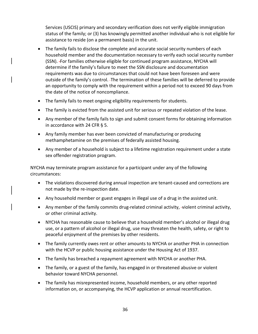Services (USCIS) primary and secondary verification does not verify eligible immigration status of the family; or (3) has knowingly permitted another individual who is not eligible for assistance to reside (on a permanent basis) in the unit.

- The family fails to disclose the complete and accurate social security numbers of each household member and the documentation necessary to verify each social security number (SSN). For families otherwise eligible for continued program assistance, NYCHA will determine if the family's failure to meet the SSN disclosure and documentation requirements was due to circumstances that could not have been foreseen and were outside of the family's control. The termination of these families will be deferred to provide an opportunity to comply with the requirement within a period not to exceed 90 days from the date of the notice of noncompliance.
- The family fails to meet ongoing eligibility requirements for students.
- The family is evicted from the assisted unit for serious or repeated violation of the lease.
- Any member of the family fails to sign and submit consent forms for obtaining information in accordance with 24 CFR § 5.
- Any family member has ever been convicted of manufacturing or producing methamphetamine on the premises of federally assisted housing.
- Any member of a household is subject to a lifetime registration requirement under a state sex offender registration program.

NYCHA may terminate program assistance for a participant under any of the following circumstances:

- The violations discovered during annual inspection are tenant-caused and corrections are not made by the re-inspection date.
- Any household member or guest engages in illegal use of a drug in the assisted unit.
- Any member of the family commits drug-related criminal activity, -violent criminal activity, or other criminal activity.
- NYCHA has reasonable cause to believe that a household member's alcohol or illegal drug use, or a pattern of alcohol or illegal drug, use may threaten the health, safety, or right to peaceful enjoyment of the premises by other residents.
- The family currently owes rent or other amounts to NYCHA or another PHA in connection with the HCVP or public housing assistance under the Housing Act of 1937.
- The family has breached a repayment agreement with NYCHA or another PHA.
- The family, or a guest of the family, has engaged in or threatened abusive or violent behavior toward NYCHA personnel.
- The family has misrepresented income, household members, or any other reported information on, or accompanying, the HCVP application or annual recertification.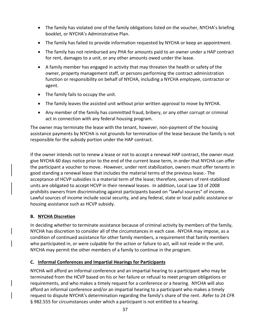- The family has violated one of the family obligations listed on the voucher, NYCHA's briefing booklet, or NYCHA's Administrative Plan.
- The family has failed to provide information requested by NYCHA or keep an appointment.
- The family has not reimbursed any PHA for amounts paid to an owner under a HAP contract for rent, damages to a unit, or any other amounts owed under the lease.
- A family member has engaged in activity that may threaten the health or safety of the owner, property management staff, or persons performing the contract administration function or responsibility on behalf of NYCHA, including a NYCHA employee, contractor or agent.
- The family fails to occupy the unit.
- The family leaves the assisted unit without prior written approval to move by NYCHA.
- Any member of the family has committed fraud, bribery, or any other corrupt or criminal act in connection with any federal housing program.

The owner may terminate the lease with the tenant, however, non-payment of the housing assistance payments by NYCHA is not grounds for termination of the lease because the family is not responsible for the subsidy portion under the HAP contract.

If the owner intends not to renew a lease or not to accept a renewal HAP contract, the owner must give NYCHA 60 days notice prior to the end of the current lease term, in order that NYCHA can offer the participant a voucher to move. However, under rent stabilization, owners must offer tenants in good standing a renewal lease that includes the material terms of the previous lease. The acceptance of HCVP subsidies is a material term of the lease; therefore, owners of rent-stabilized units are obligated to accept HCVP in their renewal leases. - In addition, Local Law 10 of 2008 prohibits owners from discriminating against participants based on "lawful sources" of income. Lawful sources of income include social security, and any federal, state or local public assistance or housing assistance such as HCVP subsidy.

#### <span id="page-37-0"></span>**B. NYCHA Discretion**

In deciding whether to terminate assistance because of criminal activity by members of the family, NYCHA has discretion to consider all of the circumstances in each case. NYCHA may impose, as a condition of continued assistance for other family members, a requirement that family members who participated in, or were culpable for the action or failure to act, will not reside in the unit. NYCHA may permit the other members of a family to continue in the program.

#### <span id="page-37-1"></span>**C. Informal Conferences and Impartial Hearings for Participants**

NYCHA will afford an informal conference and an impartial hearing to a participant who may be terminated from the HCVP based on his or her failure or refusal to meet program obligations or requirements, and who makes a timely request for a conference or a hearing. NYCHA will also afford an informal conference and/or an impartial hearing to a participant who makes a timely request to dispute NYCHA's determination regarding the family's share of the rent. Refer to 24 CFR § 982.555 for circumstances under which a participant is not entitled to a hearing.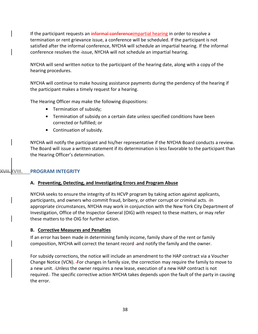If the participant requests an informal conference impartial hearing in order to resolve a termination or rent grievance issue, a conference will be scheduled. If the participant is not satisfied after the informal conference, NYCHA will schedule an impartial hearing. If the informal conference resolves the issue, NYCHA will not schedule an impartial hearing.

NYCHA will send written notice to the participant of the hearing date, along with a copy of the hearing procedures.

NYCHA will continue to make housing assistance payments during the pendency of the hearing if the participant makes a timely request for a hearing.

The Hearing Officer may make the following dispositions:

- **•** Termination of subsidy;
- **•** Termination of subsidy on a certain date unless specified conditions have been corrected or fulfilled; or
- **•** Continuation of subsidy.

NYCHA will notify the participant and his/her representative if the NYCHA Board conducts a review. The Board will issue a written statement if its determination is less favorable to the participant than the Hearing Officer's determination.

#### <span id="page-38-1"></span><span id="page-38-0"></span>**XVII.XVIII. PROGRAM INTEGRITY**

#### **A. Preventing, Detecting, and Investigating Errors and Program Abuse**

NYCHA seeks to ensure the integrity of its HCVP program by taking action against applicants, participants, and owners who commit fraud, bribery, or other corrupt or criminal acts. In appropriate circumstances, NYCHA may work in conjunction with the New York City Department of Investigation, Office of the Inspector General (OIG) with respect to these matters, or may refer these matters to the OIG for further action.

#### <span id="page-38-2"></span>**B. Corrective Measures and Penalties**

If an error has been made in determining family income, family share of the rent or family composition, NYCHA will correct the tenant record and notify the family and the owner.

For subsidy corrections, the notice will include an amendment to the HAP contract via a Voucher Change Notice (VCN). For changes in family size, the correction may require the family to move to a new unit. Unless the owner requires a new lease, execution of a new HAP contract is not required. The specific corrective action NYCHA takes depends upon the fault of the party in causing the error.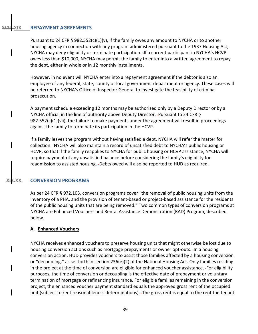#### <span id="page-39-0"></span>**XIX. REPAYMENT AGREEMENTS**

Pursuant to 24 CFR § 982.552(c)(1)(v), if the family owes any amount to NYCHA or to another housing agency in connection with any program administered pursuant to the 1937 Housing Act, NYCHA may deny eligibility or terminate participation. If a current participant in NYCHA's HCVP owes less than \$10,000, NYCHA may permit the family to enter into a written agreement to repay the debt, either in whole or in 12 monthly installments.

However, in no event will NYCHA enter into a repayment agreement if the debtor is also an employee of any federal, state, county or local government department or agency. These cases will be referred to NYCHA's Office of Inspector General to investigate the feasibility of criminal prosecution.

A payment schedule exceeding 12 months may be authorized only by a Deputy Director or by a NYCHA official in the line of authority above Deputy Director. Pursuant to 24 CFR §  $982.552(c)(1)(vii)$ , the failure to make payments under the agreement will result in proceedings against the family to terminate its participation in the HCVP.

If a family leaves the program without having satisfied a debt, NYCHA will refer the matter for collection. NYCHA will also maintain a record of unsatisfied debt to NYCHA's public housing or HCVP, so that if the family reapplies to NYCHA for public housing or HCVP assistance, NYCHA will require payment of any unsatisfied balance before considering the family's eligibility for readmission to assisted housing. -Debts owed will also be reported to HUD as required.

#### <span id="page-39-1"></span>**CONVERSION PROGRAMS**

As per 24 CFR § 972.103, conversion programs cover "the removal of public housing units from the inventory of a PHA, and the provision of tenant-based or project-based assistance for the residents of the public housing units that are being removed." Two common types of conversion programs at NYCHA are Enhanced Vouchers and Rental Assistance Demonstration (RAD) Program, described below.

#### <span id="page-39-2"></span>**A. Enhanced Vouchers**

NYCHA receives enhanced vouchers to preserve housing units that might otherwise be lost due to housing conversion actions such as mortgage prepayments or owner opt-outs. In a housing conversion action, HUD provides vouchers to assist those families affected by a housing conversion or "decoupling," as set forth in section 236(e)(2) of the National Housing Act. Only families residing in the project at the time of conversion are eligible for enhanced voucher assistance. - For eligibility purposes, the time of conversion or decoupling is the effective date of prepayment or voluntary termination of mortgage or refinancing insurance. For eligible families remaining in the conversion project, the enhanced voucher payment standard equals the approved gross rent of the occupied unit (subject to rent reasonableness determinations). The gross rent is equal to the rent the tenant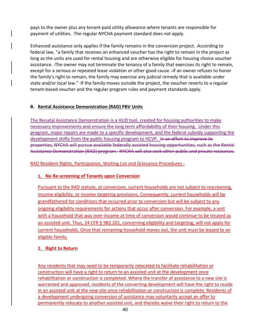pays to the owner plus any tenant-paid utility allowance where tenants are responsible for payment of utilities. The regular NYCHA payment standard does not apply.

Enhanced assistance only applies if the family remains in the conversion project. According to federal law, "a family that receives an enhanced voucher has the right to remain in the project as long as the units are used for rental housing and are otherwise eligible for housing choice voucher assistance. The owner may not terminate the tenancy of a family that exercises its right to remain, except for a serious or repeated lease violation or other good cause. If an owner refuses to honor the family's right to remain, the family may exercise any judicial remedy that is available under state and/or local law." - If the family moves outside the project, the voucher reverts to a regular tenant-based voucher and the regular program rules and payment standards apply.

#### <span id="page-40-0"></span>**B. Rental Assistance Demonstration (RAD) PBV Units**

The Renatal Assistance Demonstration is a HUD tool, created for housing authorities to make necessary improvements and ensure the long term affordability of their housing. Under this program, major repairs are made to a specific development, and the federal subsidy supporting the development shifts from the public housing program to HCVP. In an effort to improve its properties, NYCHA will pursue available federally assisted housing opportunities, such as the Rental Assistance Demonstration (RAD) program. NYCHA will also seek other public and private resources.

RAD Resident Rights, Participation, Waiting List and Grievance Procedures :

# **1. No Re-screening of Tenants upon Conversion**

Pursuant to the RAD statute, at conversion, current households are not subject to rescreening, income eligibility, or income targeting provisions. Consequently, current households will be grandfathered for conditions that occurred prior to conversion but will be subject to any ongoing eligibility requirements for actions that occur after conversion. For example, a unit with a household that was over-income at time of conversion would continue to be treated as an assisted unit. Thus, 24 CFR § 982.201, concerning eligibility and targeting, will not apply for current households. Once that remaining household moves out, the unit must be leased to an eligible family.

# **2. Right to Return**

Any residents that may need to be temporarily relocated to facilitate rehabilitation or construction will have a right to return to an assisted unit at the development once rehabilitation or construction is completed. Where the transfer of assistance to a new site is warranted and approved, residents of the converting development will have the right to reside in an assisted unit at the new site once rehabilitation or construction is complete. Residents of a development undergoing conversion of assistance may voluntarily accept an offer to permanently relocate to another assisted unit, and thereby waive their right to return to the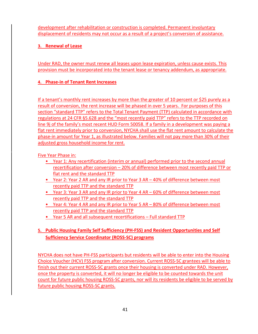development after rehabilitation or construction is completed. Permanent involuntary displacement of residents may not occur as a result of a project's conversion of assistance.

# **3. Renewal of Lease**

Under RAD, the owner must renew all leases upon lease expiration, unless cause exists. This provision must be incorporated into the tenant lease or tenancy addendum, as appropriate.

# **4. Phase-in of Tenant Rent Increases**

If a tenant's monthly rent increases by more than the greater of 10 percent or \$25 purely as a result of conversion, the rent increase will be phased in over 5 years. For purposes of this section "standard TTP" refers to the Total Tenant Payment (TTP) calculated in accordance with regulations at 24 CFR §5.628 and the "most recently paid TTP" refers to the TTP recorded on line 9j of the family's most recent HUD Form 50058. If a family in a development was paying a flat rent immediately prior to conversion, NYCHA shall use the flat rent amount to calculate the phase-in amount for Year 1, as illustrated below. Families will not pay more than 30% of their adjusted gross household income for rent.

Five Year Phase in:

- Year 1: Any recertification (interim or annual) performed prior to the second annual recertification after conversion – 20% of difference between most recently paid TTP or flat rent and the standard TTP
- Year 2: Year 2 AR and any IR prior to Year 3 AR 40% of difference between most recently paid TTP and the standard TTP
- Year 3: Year 3 AR and any IR prior to Year 4 AR 60% of difference between most recently paid TTP and the standard TTP
- Year 4: Year 4 AR and any IR prior to Year 5 AR 80% of difference between most recently paid TTP and the standard TTP
- Year 5 AR and all subsequent recertifications Full standard TTP

# **5. Public Housing Family Self Sufficiency (PH-FSS) and Resident Opportunities and Self Sufficiency Service Coordinator (ROSS-SC) programs**

NYCHA does not have PH-FSS participants but residents will be able to enter into the Housing Choice Voucher (HCV) FSS program after conversion. Current ROSS-SC grantees will be able to finish out their current ROSS-SC grants once their housing is converted under RAD. However, once the property is converted, it will no longer be eligible to be counted towards the unit count for future public housing ROSS-SC grants, nor will its residents be eligible to be served by future public housing ROSS-SC grants.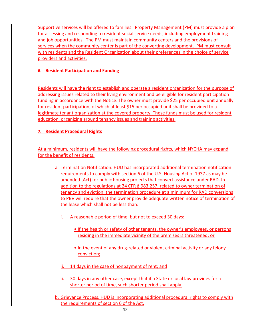Supportive services will be offered to families. Property Management (PM) must provide a plan for assessing and responding to resident social service needs, including employment training and job opportunities. The PM must maintain community centers and the provisions of services when the community center is part of the converting development. PM must consult with residents and the Resident Organization about their preferences in the choice of service providers and activities.

# **6. Resident Participation and Funding**

Residents will have the right to establish and operate a resident organization for the purpose of addressing issues related to their living environment and be eligible for resident participation funding in accordance with the Notice. The owner must provide \$25 per occupied unit annually for resident participation, of which at least \$15 per occupied unit shall be provided to a legitimate tenant organization at the covered property. These funds must be used for resident education, organizing around tenancy issues and training activities.

# **7. Resident Procedural Rights**

At a minimum, residents will have the following procedural rights, which NYCHA may expand for the benefit of residents.

- a. Termination Notification. HUD has incorporated additional termination notification requirements to comply with section 6 of the U.S. Housing Act of 1937 as may be amended (Act) for public housing projects that convert assistance under RAD. In addition to the regulations at 24 CFR § 983.257, related to owner termination of tenancy and eviction, the termination procedure at a minimum for RAD conversions to PBV will require that the owner provide adequate written notice of termination of the lease which shall not be less than:
	- i. A reasonable period of time, but not to exceed 30 days:
		- If the health or safety of other tenants, the owner's employees, or persons residing in the immediate vicinity of the premises is threatened; or
		- In the event of any drug-related or violent criminal activity or any felony conviction;
	- ii. 14 days in the case of nonpayment of rent; and
	- ii. 30 days in any other case, except that if a State or local law provides for a shorter period of time, such shorter period shall apply.
- b. Grievance Process. HUD is incorporating additional procedural rights to comply with the requirements of section 6 of the Act.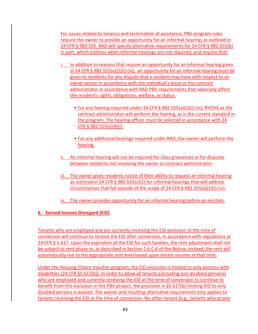For issues related to tenancy and termination of assistance, PBV program rules require the owner to provide an opportunity for an informal hearing, as outlined in 24 CFR § 982.555. RAD will specify alternative requirements for 24 CFR § 982.555(b) in part, which outlines when informal hearings are not required, and require that:

- i. In addition to reasons that require an opportunity for an informal hearing given in 24 CFR § 982.555(a)(1)(i)-(vi), an opportunity for an informal hearing must be given to residents for any dispute that a resident may have with respect to an owner action in accordance with the individual's lease or the contract administrator in accordance with RAD PBV requirements that adversely affect the resident's rights, obligations, welfare, or status.
	- For any hearing required under 24 CFR § 982.555(a)(1)(i)-(vi), NYCHA as the contract administrator will perform the hearing, as is the current standard in the program. The hearing officer must be selected in accordance with 24 CFR § 982.555(e)(4)(i).
	- For any additional hearings required under RAD, the owner will perform the hearing.
- ii. An informal hearing will not be required for class grievances or for disputes between residents not involving the owner or contract administrator.
- iii. The owner gives residents notice of their ability to request an informal hearing as outlined in 24 CFR § 982.555(c)(1) for informal hearings that will address circumstances that fall outside of the scope of 24 CFR § 982.555(a)(1)(i)-(vi).
- iv. The owner provides opportunity for an informal hearing before an eviction.

#### **8. Earned Income Disregard (EID)**

Tenants who are employed and are currently receiving the EID exclusion at the time of conversion will continue to receive the EID after conversion, in accordance with regulations at 24 CFR § 5.617. Upon the expiration of the EID for such families, the rent adjustment shall not be subject to rent phase-in, as described in Section 1.6.C.4 of the Notice; instead, the rent will automatically rise to the appropriate rent level based upon tenant income at that time.

Under the Housing Choice Voucher program, the EID exclusion is limited to only persons with disabilities (24 CFR §5.617(b)). In order to allow all tenants (including non-disabled persons) who are employed and currently receiving the EID at the time of conversion to continue to benefit from this exclusion in the PBV project, the provision in §5.617(b) limiting EID to only disabled persons is waived. The waiver and resulting alternative requirement only applies to tenants receiving the EID at the time of conversion. No other tenant (e.g., tenants who at one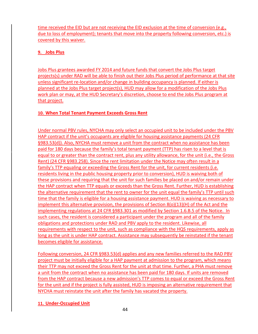time received the EID but are not receiving the EID exclusion at the time of conversion (e.g., due to loss of employment); tenants that move into the property following conversion, etc.) is covered by this waiver.

# **9. Jobs Plus**

Jobs Plus grantees awarded FY 2014 and future funds that convert the Jobs Plus target projects(s) under RAD will be able to finish out their Jobs Plus period of performance at that site unless significant re-location and/or change in building occupancy is planned. If either is planned at the Jobs Plus target project(s), HUD may allow for a modification of the Jobs Plus work plan or may, at the HUD Secretary's discretion, choose to end the Jobs Plus program at that project.

# **10. When Total Tenant Payment Exceeds Gross Rent**

Under normal PBV rules, NYCHA may only select an occupied unit to be included under the PBV HAP contract if the unit's occupants are eligible for housing assistance payments (24 CFR §983.53(d)). Also, NYCHA must remove a unit from the contract when no assistance has been paid for 180 days because the family's total tenant payment (TTP) has risen to a level that is equal to or greater than the contract rent, plus any utility allowance, for the unit (i.e., the Gross Rent) (24 CFR §983.258). Since the rent limitation under the Notice may often result in a family's TTP equaling or exceeding the Gross Rent for the unit, for current residents (i.e. residents living in the public housing property prior to conversion), HUD is waiving both of these provisions and requiring that the unit for such families be placed on and/or remain under the HAP contract when TTP equals or exceeds than the Gross Rent. Further, HUD is establishing the alternative requirement that the rent to owner for the unit equal the family's TTP until such time that the family is eligible for a housing assistance payment. HUD is waiving as necessary to implement this alternative provision, the provisions of Section 8(o)(13)(H) of the Act and the implementing regulations at 24 CFR §983.301 as modified by Section 1.6.B.5 of the Notice. In such cases, the resident is considered a participant under the program and all of the family obligations and protections under RAD and PBV apply to the resident. Likewise, all requirements with respect to the unit, such as compliance with the HQS requirements, apply as long as the unit is under HAP contract. Assistance may subsequently be reinstated if the tenant becomes eligible for assistance.

Following conversion, 24 CFR §983.53(d) applies and any new families referred to the RAD PBV project must be initially eligible for a HAP payment at admission to the program, which means their TTP may not exceed the Gross Rent for the unit at that time. Further, a PHA must remove a unit from the contract when no assistance has been paid for 180 days. If units are removed from the HAP contract because a new admission's TTP comes to equal or exceed the Gross Rent for the unit and if the project is fully assisted, HUD is imposing an alternative requirement that NYCHA must reinstate the unit after the family has vacated the property.

# **11. Under-Occupied Unit**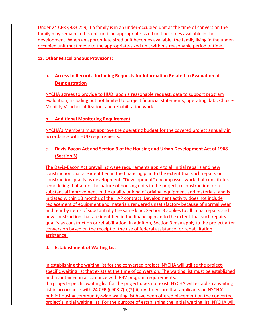Under 24 CFR §983.259, if a family is in an under-occupied unit at the time of conversion the family may remain in this unit until an appropriate-sized unit becomes available in the development. When an appropriate sized unit becomes available, the family living in the underoccupied unit must move to the appropriate-sized unit within a reasonable period of time.

### **12. Other Miscellaneous Provisions:**

# **a. Access to Records, Including Requests for Information Related to Evaluation of Demonstration**

NYCHA agrees to provide to HUD, upon a reasonable request, data to support program evaluation, including but not limited to project financial statements, operating data, Choice-Mobility Voucher utilization, and rehabilitation work.

#### **b. Additional Monitoring Requirement**

NYCHA's Members must approve the operating budget for the covered project annually in accordance with HUD requirements.

# **c. Davis-Bacon Act and Section 3 of the Housing and Urban Development Act of 1968 (Section 3)**

The Davis-Bacon Act prevailing wage requirements apply to all initial repairs and new construction that are identified in the financing plan to the extent that such repairs or construction qualify as development. "Development" encompasses work that constitutes remodeling that alters the nature of housing units in the project, reconstruction, or a substantial improvement in the quality or kind of original equipment and materials, and is initiated within 18 months of the HAP contract. Development activity does not include replacement of equipment and materials rendered unsatisfactory because of normal wear and tear by items of substantially the same kind. Section 3 applies to all initial repairs and new construction that are identified in the financing plan to the extent that such repairs qualify as construction or rehabilitation. In addition, Section 3 may apply to the project after conversion based on the receipt of the use of federal assistance for rehabilitation assistance.

#### **d. Establishment of Waiting List**

In establishing the waiting list for the converted project, NYCHA will utilize the projectspecific waiting list that exists at the time of conversion. The waiting list must be established and maintained in accordance with PBV program requirements. If a project-specific waiting list for the project does not exist, NYCHA will establish a waiting list in accordance with 24 CFR § 903.7(b)(2)(ii)-(iv) to ensure that applicants on NYCHA's public housing community-wide waiting list have been offered placement on the converted project's initial waiting list. For the purpose of establishing the initial waiting list, NYCHA will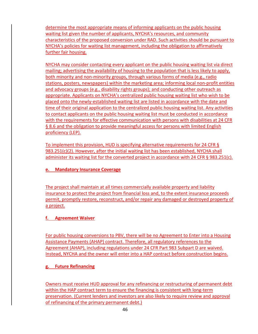determine the most appropriate means of informing applicants on the public housing waiting list given the number of applicants, NYCHA's resources, and community characteristics of the proposed conversion under RAD. Such activities should be pursuant to NYCHA's policies for waiting list management, including the obligation to affirmatively further fair housing.

NYCHA may consider contacting every applicant on the public housing waiting list via direct mailing; advertising the availability of housing to the population that is less likely to apply, both minority and non-minority groups, through various forms of media (e.g., radio stations, posters, newspapers) within the marketing area; informing local non-profit entities and advocacy groups (e.g., disability rights groups); and conducting other outreach as appropriate. Applicants on NYCHA's centralized public housing waiting list who wish to be placed onto the newly-established waiting list are listed in accordance with the date and time of their original application to the centralized public housing waiting list. Any activities to contact applicants on the public housing waiting list must be conducted in accordance with the requirements for effective communication with persons with disabilities at 24 CFR § 8.6 and the obligation to provide meaningful access for persons with limited English proficiency (LEP).

To implement this provision, HUD is specifying alternative requirements for 24 CFR § 983.251(c)(2). However, after the initial waiting list has been established, NYCHA shall administer its waiting list for the converted project in accordance with 24 CFR § 983.251(c).

### **e. Mandatory Insurance Coverage**

The project shall maintain at all times commercially available property and liability insurance to protect the project from financial loss and, to the extent insurance proceeds permit, promptly restore, reconstruct, and/or repair any damaged or destroyed property of a project.

# **f. Agreement Waiver**

For public housing conversions to PBV, there will be no Agreement to Enter into a Housing Assistance Payments (AHAP) contract. Therefore, all regulatory references to the Agreement (AHAP), including regulations under 24 CFR Part 983 Subpart D are waived. Instead, NYCHA and the owner will enter into a HAP contract before construction begins.

#### **g. Future Refinancing**

Owners must receive HUD approval for any refinancing or restructuring of permanent debt within the HAP contract term to ensure the financing is consistent with long-term preservation. (Current lenders and investors are also likely to require review and approval of refinancing of the primary permanent debt.)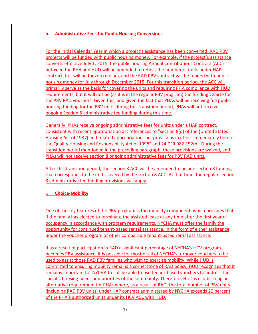# **h. Administrative Fees for Public Housing Conversions**

For the initial Calendar Year in which a project's assistance has been converted, RAD PBV projects will be funded with public housing money. For example, if the project's assistance converts effective July 1, 2015, the public housing Annual Contributions Contract (ACC) between the PHA and HUD will be amended to reflect the number of units under HAP contract, but will be for zero dollars, and the RAD PBV contract will be funded with public housing money for July through December 2015. For this transition period, the ACC will primarily serve as the basis for covering the units and requiring PHA compliance with HUD requirements, but it will not be (as it is in the regular PBV program) the funding vehicle for the PBV RAD vouchers. Given this, and given the fact that PHAs will be receiving full public housing funding for the PBV units during this transition period, PHAs will not receive ongoing Section 8 administrative fee funding during this time.

Generally, PHAs receive ongoing administrative fees for units under a HAP contract, consistent with recent appropriation act references to "section 8(q) of the [United States Housing Act of 1937] and related appropriations act provisions in effect immediately before the Quality Housing and Responsibility Act of 1998" and 24 CFR 982.152(b). During the transition period mentioned in the preceding paragraph, these provisions are waived, and PHAs will not receive section 8 ongoing administrative fees for PBV RAD units.

After this transition period, the section 8 ACC will be amended to include section 8 funding that corresponds to the units covered by the section 8 ACC. At that time, the regular section 8 administrative fee funding provisions will apply.

#### **i. Choice-Mobility**

One of the key features of the PBV program is the mobility component, which provides that if the family has elected to terminate the assisted lease at any time after the first year of occupancy in accordance with program requirements, NYCHA must offer the family the opportunity for continued tenant-based rental assistance, in the form of either assistance under the voucher program or other comparable tenant-based rental assistance.

If as a result of participation in RAD a significant percentage of NYCHA's HCV program becomes PBV assistance, it is possible for most or all of NYCHA's turnover vouchers to be used to assist those RAD PBV families who wish to exercise mobility. While HUD is committed to ensuring mobility remains a cornerstone of RAD policy, HUD recognizes that it remains important for NYCHA to still be able to use tenant-based vouchers to address the specific housing needs and priorities of the community. Therefore, HUD is establishing an alternative requirement for PHAs where, as a result of RAD, the total number of PBV units (including RAD PBV units) under HAP contract administered by NYCHA exceeds 20 percent of the PHA's authorized units under its HCV ACC with HUD.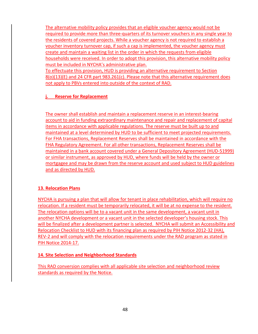The alternative mobility policy provides that an eligible voucher agency would not be required to provide more than three-quarters of its turnover vouchers in any single year to the residents of covered projects. While a voucher agency is not required to establish a voucher inventory turnover cap, if such a cap is implemented, the voucher agency must create and maintain a waiting list in the order in which the requests from eligible households were received. In order to adopt this provision, this alternative mobility policy must be included in NYCHA's administrative plan.

To effectuate this provision, HUD is providing an alternative requirement to Section 8(o)(13)(E) and 24 CFR part 983.261(c). Please note that this alternative requirement does not apply to PBVs entered into outside of the context of RAD.

# **j. Reserve for Replacement**

The owner shall establish and maintain a replacement reserve in an interest-bearing account to aid in funding extraordinary maintenance and repair and replacement of capital items in accordance with applicable regulations. The reserve must be built up to and maintained at a level determined by HUD to be sufficient to meet projected requirements. For FHA transactions, Replacement Reserves shall be maintained in accordance with the FHA Regulatory Agreement. For all other transactions, Replacement Reserves shall be maintained in a bank account covered under a General Depository Agreement (HUD-51999) or similar instrument, as approved by HUD, where funds will be held by the owner or mortgagee and may be drawn from the reserve account and used subject to HUD guidelines and as directed by HUD.

#### **13. Relocation Plans**

NYCHA is pursuing a plan that will allow for tenant in place rehabilitation, which will require no relocation. If a resident must be temporarily relocated, it will be at no expense to the resident. The relocation options will be to a vacant unit in the same development, a vacant unit in another NYCHA development or a vacant unit in the selected developer's housing stock. This will be finalized after a development partner is selected. NYCHA will submit an Accessibility and Relocation Checklist to HUD with its financing plan as required by PIH Notice 2012-32 (HA), REV-2 and will comply with the relocation requirements under the RAD program as stated in PIH Notice 2014-17.

#### **14. Site Selection and Neighborhood Standards**

This RAD conversion complies with all applicable site selection and neighborhood review standards as required by the Notice.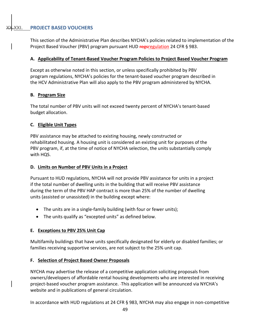<span id="page-49-0"></span>This section of the Administrative Plan describes NYCHA's policies related to implementation of the Project Based Voucher (PBV) program pursuant HUD regsregulation 24 CFR § 983.

#### **A. Applicability of Tenant-Based Voucher Program Policies to Project Based Voucher Program**

Except as otherwise noted in this section, or unless specifically prohibited by PBV program regulations, NYCHA's policies for the tenant-based voucher program described in the HCV Administrative Plan will also apply to the PBV program administered by NYCHA.

#### **B. Program Size**

The total number of PBV units will not exceed twenty percent of NYCHA's tenant-based budget allocation.

#### **C. Eligible Unit Types**

PBV assistance may be attached to existing housing, newly constructed or rehabilitated housing. A housing unit is considered an existing unit for purposes of the PBV program, if, at the time of notice of NYCHA selection, the units substantially comply with HQS.

#### **D. Limits on Number of PBV Units in a Project**

Pursuant to HUD regulations, NYCHA will not provide PBV assistance for units in a project if the total number of dwelling units in the building that will receive PBV assistance during the term of the PBV HAP contract is more than 25% of the number of dwelling units (assisted or unassisted) in the building except where:

- The units are in a single-family building (with four or fewer units);
- The units qualify as "excepted units" as defined below.

#### **E. Exceptions to PBV 25% Unit Cap**

Multifamily buildings that have units specifically designated for elderly or disabled families; or families receiving supportive services, are not subject to the 25% unit cap.

#### **F. Selection of Project Based Owner Proposals**

NYCHA may advertise the release of a competitive application soliciting proposals from owners/developers of affordable rental housing developments who are interested in receiving project-based voucher program assistance. This application will be announced via NYCHA's website and in publications of general circulation.

In accordance with HUD regulations at 24 CFR § 983, NYCHA may also engage in non-competitive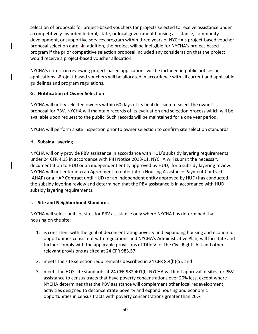selection of proposals for project-based vouchers for projects selected to receive assistance under a competitively-awarded federal, state, or local government housing assistance, community development, or supportive services program within three years of NYCHA's project-based voucher proposal selection date. In addition, the project will be ineligible for NYCHA's project-based program if the prior competitive selection proposal included any consideration that the project would receive a project-based voucher allocation.

NYCHA's criteria in reviewing project-based applications will be included in public notices or applications. Project-based vouchers will be allocated in accordance with all current and applicable guidelines and program regulations.

# **G. Notification of Owner Selection**

NYCHA will notify selected owners within 60 days of its final decision to select the owner's proposal for PBV. NYCHA will maintain records of its evaluation and selection process which will be available upon request to the public. Such records will be maintained for a one year period.

NYCHA will perform a site inspection prior to owner selection to confirm site selection standards.

# **H. Subsidy Layering**

NYCHA will only provide PBV assistance in accordance with HUD's subsidy layering requirements under 24 CFR 4.13 in accordance with PIH Notice 2013-11. NYCHA will submit the necessary documentation to HUD or an independent entity approved by HUD, -for a subsidy layering review. NYCHA will not enter into an Agreement to enter into a Housing Assistance Payment Contract (AHAP) or a HAP Contract until HUD (or an independent entity approved by HUD) has conducted the subsidy layering review and determined that the PBV assistance is in accordance with HUD subsidy layering requirements.

#### **I. Site and Neighborhood Standards**

NYCHA will select units or sites for PBV assistance only where NYCHA has determined that housing on the site:

- 1. is consistent with the goal of deconcentrating poverty and expanding housing and economic opportunities consistent with regulations and NYCHA's Administrative Plan; will facilitate and further comply with the applicable provisions of Title VI of the Civil Rights Act and other relevant provisions as cited at 24 CFR 983.57;
- 2. meets the site selection requirements described in 24 CFR 8.4(b)(5); and
- 3. meets the HQS site standards at 24 CFR 982.401(l). NYCHA will limit approval of sites for PBV assistance to census tracts that have poverty concentrations over 20% less, except where NYCHA determines that the PBV assistance will complement other local redevelopment activities designed to deconcentrate poverty and expand housing and economic opportunities in census tracts with poverty concentrations greater than 20%.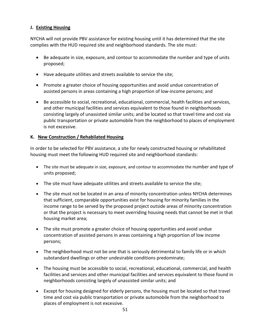#### **J. Existing Housing**

NYCHA will not provide PBV assistance for existing housing until it has determined that the site complies with the HUD required site and neighborhood standards. The site must:

- Be adequate in size, exposure, and contour to accommodate the number and type of units proposed;
- Have adequate utilities and streets available to service the site;
- Promote a greater choice of housing opportunities and avoid undue concentration of assisted persons in areas containing a high proportion of low-income persons; and
- Be accessible to social, recreational, educational, commercial, health facilities and services, and other municipal facilities and services equivalent to those found in neighborhoods consisting largely of unassisted similar units; and be located so that travel time and cost via public transportation or private automobile from the neighborhood to places of employment is not excessive.

# **K. New Construction / Rehabilated Housing**

In order to be selected for PBV assistance, a site for newly constructed housing or rehabilitated housing must meet the following HUD required site and neighborhood standards:

- The site must be adequate in size, exposure, and contour to accommodate the number and type of units proposed;
- The site must have adequate utilities and streets available to service the site;
- The site must not be located in an area of minority concentration unless NYCHA determines that sufficient, comparable opportunities exist for housing for minority families in the income range to be served by the proposed project outside areas of minority concentration or that the project is necessary to meet overriding housing needs that cannot be met in that housing market area;
- The site must promote a greater choice of housing opportunities and avoid undue concentration of assisted persons in areas containing a high proportion of low income persons;
- The neighborhood must not be one that is seriously detrimental to family life or in which substandard dwellings or other undesirable conditions predominate;
- The housing must be accessible to social, recreational, educational, commercial, and health facilities and services and other municipal facilities and services equivalent to those found in neighborhoods consisting largely of unassisted similar units; and
- Except for housing designed for elderly persons, the housing must be located so that travel time and cost via public transportation or private automobile from the neighborhood to places of employment is not excessive.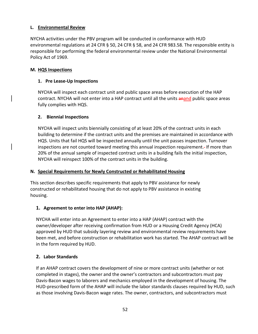# **L. Environmental Review**

NYCHA activities under the PBV program will be conducted in conformance with HUD environmental regulations at 24 CFR § 50, 24 CFR § 58, and 24 CFR 983.58. The responsible entity is responsible for performing the federal environmental review under the National Environmental Policy Act of 1969.

### **M. HQS Inspections**

# **1. Pre Lease-Up Inspections**

NYCHA will inspect each contract unit and public space areas before execution of the HAP contract. NYCHA will not enter into a HAP contract until all the units anand public space areas fully complies with HQS.

# **2. Biennial Inspections**

NYCHA will inspect units biennially consisting of at least 20% of the contract units in each building to determine if the contract units and the premises are maintained in accordance with HQS. Units that fail HQS will be inspected annually until the unit passes inspection. Turnover inspections are not counted toward meeting this annual inspection requirement. If more than 20% of the annual sample of inspected contract units in a building fails the initial inspection, NYCHA will reinspect 100% of the contract units in the building.

#### **N. Special Requirements for Newly Constructed or Rehabilitated Housing**

This section describes specific requirements that apply to PBV assistance for newly constructed or rehabilitated housing that do not apply to PBV assistance in existing housing.

# **1. Agreement to enter into HAP (AHAP):**

NYCHA will enter into an Agreement to enter into a HAP (AHAP) contract with the owner/developer after receiving confirmation from HUD or a Housing Credit Agency (HCA) approved by HUD that subsidy layering review and environmental review requirements have been met, and before construction or rehabilitation work has started. The AHAP contract will be in the form required by HUD.

# **2. Labor Standards**

If an AHAP contract covers the development of nine or more contract units (whether or not completed in stages), the owner and the owner's contractors and subcontractors must pay Davis-Bacon wages to laborers and mechanics employed in the development of housing. The HUD-prescribed form of the AHAP will include the labor standards clauses required by HUD, such as those involving Davis-Bacon wage rates. The owner, contractors, and subcontractors must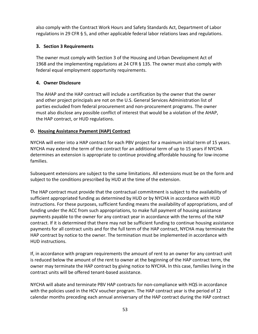also comply with the Contract Work Hours and Safety Standards Act, Department of Labor regulations in 29 CFR § 5, and other applicable federal labor relations laws and regulations.

# **3. Section 3 Requirements**

The owner must comply with Section 3 of the Housing and Urban Development Act of 1968 and the implementing regulations at 24 CFR § 135. The owner must also comply with federal equal employment opportunity requirements.

# **4. Owner Disclosure**

The AHAP and the HAP contract will include a certification by the owner that the owner and other project principals are not on the U.S. General Services Administration list of parties excluded from federal procurement and non-procurement programs. The owner must also disclose any possible conflict of interest that would be a violation of the AHAP, the HAP contract, or HUD regulations.

# **O. Housing Assistance Payment (HAP) Contract**

NYCHA will enter into a HAP contract for each PBV project for a maximum initial term of 15 years. NYCHA may extend the term of the contract for an additional term of up to 15 years if NYCHA determines an extension is appropriate to continue providing affordable housing for low-income families.

Subsequent extensions are subject to the same limitations. All extensions must be on the form and subject to the conditions prescribed by HUD at the time of the extension.

The HAP contract must provide that the contractual commitment is subject to the availability of sufficient appropriated funding as determined by HUD or by NYCHA in accordance with HUD instructions. For these purposes, sufficient funding means the availability of appropriations, and of funding under the ACC from such appropriations, to make full payment of housing assistance payments payable to the owner for any contract year in accordance with the terms of the HAP contract. If it is determined that there may not be sufficient funding to continue housing assistance payments for all contract units and for the full term of the HAP contract, NYCHA may terminate the HAP contract by notice to the owner. The termination must be implemented in accordance with HUD instructions.

If, in accordance with program requirements the amount of rent to an owner for any contract unit is reduced below the amount of the rent to owner at the beginning of the HAP contract term, the owner may terminate the HAP contract by giving notice to NYCHA. In this case, families living in the contract units will be offered tenant-based assistance.

NYCHA will abate and terminate PBV HAP contracts for non-compliance with HQS in accordance with the policies used in the HCV voucher program. The HAP contract year is the period of 12 calendar months preceding each annual anniversary of the HAP contract during the HAP contract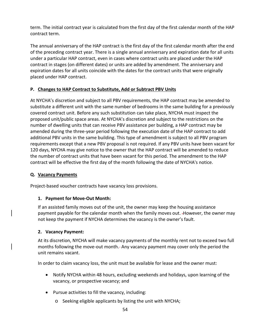term. The initial contract year is calculated from the first day of the first calendar month of the HAP contract term.

The annual anniversary of the HAP contract is the first day of the first calendar month after the end of the preceding contract year. There is a single annual anniversary and expiration date for all units under a particular HAP contract, even in cases where contract units are placed under the HAP contract in stages (on different dates) or units are added by amendment. The anniversary and expiration dates for all units coincide with the dates for the contract units that were originally placed under HAP contract.

# **P. Changes to HAP Contract to Substitute, Add or Subtract PBV Units**

At NYCHA's discretion and subject to all PBV requirements, the HAP contract may be amended to substitute a different unit with the same number of bedrooms in the same building for a previously covered contract unit. Before any such substitution can take place, NYCHA must inspect the proposed unit/public space areas. At NYCHA's discretion and subject to the restrictions on the number of dwelling units that can receive PBV assistance per building, a HAP contract may be amended during the three-year period following the execution date of the HAP contract to add additional PBV units in the same building. This type of amendment is subject to all PBV program requirements except that a new PBV proposal is not required. If any PBV units have been vacant for 120 days, NYCHA may give notice to the owner that the HAP contract will be amended to reduce the number of contract units that have been vacant for this period. The amendment to the HAP contract will be effective the first day of the month following the date of NYCHA's notice.

#### **Q. Vacancy Payments**

Project-based voucher contracts have vacancy loss provisions.

#### **1. Payment for Move-Out Month:**

If an assisted family moves out of the unit, the owner may keep the housing assistance payment payable for the calendar month when the family moves out. However, the owner may not keep the payment if NYCHA determines the vacancy is the owner's fault.

#### **2. Vacancy Payment:**

At its discretion, NYCHA will make vacancy payments of the monthly rent not to exceed two full months following the move-out month. Any vacancy payment may cover only the period the unit remains vacant.

In order to claim vacancy loss, the unit must be available for lease and the owner must:

- Notify NYCHA within 48 hours, excluding weekends and holidays, upon learning of the vacancy, or prospective vacancy; and
- Pursue activities to fill the vacancy, including:
	- o Seeking eligible applicants by listing the unit with NYCHA;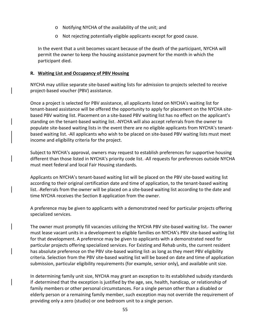- o Notifying NYCHA of the availability of the unit; and
- o Not rejecting potentially eligible applicants except for good cause.

In the event that a unit becomes vacant because of the death of the participant, NYCHA will permit the owner to keep the housing assistance payment for the month in which the participant died.

#### **R. Waiting List and Occupancy of PBV Housing**

NYCHA may utilize separate site-based waiting lists for admission to projects selected to receive project-based voucher (PBV) assistance.

Once a project is selected for PBV assistance, all applicants listed on NYCHA's waiting list for tenant-based assistance will be offered the opportunity to apply for placement on the NYCHA sitebased PBV waiting list. Placement on a site-based PBV waiting list has no effect on the applicant's standing on the tenant-based waiting list. NYCHA will also accept referrals from the owner to populate site-based waiting lists in the event there are no eligible applicants from NYCHA's tenantbased waiting list. All applicants who wish to be placed on site-based PBV waiting lists must meet income and eligibility criteria for the project.

Subject to NYCHA's approval, owners may request to establish preferences for supportive housing different than those listed in NYCHA's priority code list. All requests for preferences outside NYCHA must meet federal and local Fair Housing standards.

Applicants on NYCHA's tenant-based waiting list will be placed on the PBV site-based waiting list according to their original certification date and time of application, to the tenant-based waiting list. Referrals from the owner will be placed on a site-based waiting list according to the date and time NYCHA receives the Section 8 application from the owner.

A preference may be given to applicants with a demonstrated need for particular projects offering specialized services.

The owner must promptly fill vacancies utilizing the NYCHA PBV site-based waiting list. The owner must lease vacant units in a development to eligible families on NYCHA's PBV site-based waiting list for that development. A preference may be given to applicants with a demonstrated need for particular projects offering specialized services. For Existing and Rehab units, the current resident has absolute preference on the PBV site-based waiting list- as long as they meet PBV eligibility criteria. Selection from the PBV site-based waiting list will be based on date and time of application submission, particular eligibility requirements (for example, senior only), and available unit size.

In determining family unit size, NYCHA may grant an exception to its established subsidy standards if determined that the exception is justified by the age, sex, health, handicap, or relationship of family members or other personal circumstances. For a single person other than a disabled or elderly person or a remaining family member, such exception may not override the requirement of providing only a zero (studio) or one bedroom unit to a single person.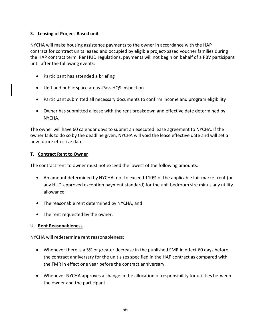# **S. Leasing of Project-Based unit**

NYCHA will make housing assistance payments to the owner in accordance with the HAP contract for contract units leased and occupied by eligible project-based voucher families during the HAP contract term. Per HUD regulations, payments will not begin on behalf of a PBV participant until after the following events:

- Participant has attended a briefing
- Unit and public space areas -Pass HQS Inspection
- Participant submitted all necessary documents to confirm income and program eligibility
- Owner has submitted a lease with the rent breakdown and effective date determined by NYCHA.

The owner will have 60 calendar days to submit an executed lease agreement to NYCHA. If the owner fails to do so by the deadline given, NYCHA will void the lease effective date and will set a new future effective date.

# **T. Contract Rent to Owner**

The contract rent to owner must not exceed the lowest of the following amounts:

- **•** An amount determined by NYCHA, not to exceed 110% of the applicable fair market rent (or any HUD-approved exception payment standard) for the unit bedroom size minus any utility allowance;
- **•** The reasonable rent determined by NYCHA, and
- **•** The rent requested by the owner.

# **U. Rent Reasonableness**

NYCHA will redetermine rent reasonableness:

- Whenever there is a 5% or greater decrease in the published FMR in effect 60 days before the contract anniversary for the unit sizes specified in the HAP contract as compared with the FMR in effect one year before the contract anniversary.
- Whenever NYCHA approves a change in the allocation of responsibility for utilities between the owner and the participant.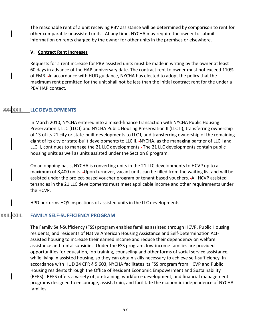The reasonable rent of a unit receiving PBV assistance will be determined by comparison to rent for other comparable unassisted units. At any time, NYCHA may require the owner to submit information on rents charged by the owner for other units in the premises or elsewhere.

#### **V. Contract Rent Increases**

Requests for a rent increase for PBV assisted units must be made in writing by the owner at least 60 days in advance of the HAP anniversary date. The contract rent to owner must not exceed 110% of FMR. In accordance with HUD guidance, NYCHA has elected to adopt the policy that the maximum rent permitted for the unit shall not be less than the initial contract rent for the under a PBV HAP contact.

#### <span id="page-57-0"></span>**XXII.** LLC DEVELOPMENTS

In March 2010, NYCHA entered into a mixed-finance transaction with NYCHA Public Housing Preservation I, LLC (LLC I) and NYCHA Public Housing Preservation II (LLC II), transferring ownership of 13 of its 21 city or state-built developments to LLC I, and transferring ownership of the remaining eight of its city or state-built developments to LLC II. -NYCHA, as the managing partner of LLC I and LLC II, continues to manage the 21 LLC developments. The 21 LLC developments contain public housing units as well as units assisted under the Section 8 program.

On an ongoing basis, NYCHA is converting units in the 21 LLC developments to HCVP up to a maximum of 8,400 units. -Upon turnover, vacant units can be filled from the waiting list and will be assisted under the project-based voucher program or tenant based vouchers. All HCVP assisted tenancies in the 21 LLC developments must meet applicable income and other requirements under the HCVP.

HPD performs HQS inspections of assisted units in the LLC developments.

#### <span id="page-57-1"></span>**XXIII.** FAMILY SELF-SUFFICIENCY PROGRAM

The Family Self-Sufficiency (FSS) program enables families assisted through HCVP, Public Housing residents, and residents of Native American Housing Assistance and Self-Determination Actassisted housing to increase their earned income and reduce their dependency on welfare assistance and rental subsidies. Under the FSS program, low-income families are provided opportunities for education, job training, counseling and other forms of social service assistance, while living in assisted housing, so they can obtain skills necessary to achieve self-sufficiency. In accordance with HUD 24 CFR § 5.603, NYCHA facilitates its FSS program from HCVP and Public Housing residents through the Office of Resident Economic Empowerment and Sustainability (REES). -REES offers a variety of job-training, workforce development, and financial management programs designed to encourage, assist, train, and facilitate the economic independence of NYCHA families.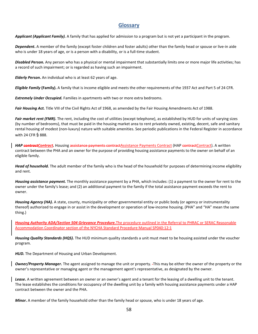# **Glossary**

<span id="page-58-0"></span>*Applicant (Applicant Family).* A family that has applied for admission to a program but is not yet a participant in the program.

*Dependent***.** A member of the family (except foster children and foster adults) other than the family head or spouse or live-in aide who is under 18 years of age, or is a person with a disability, or is a full-time student.

*Disabled Person.* Any person who has a physical or mental impairment that substantially limits one or more major life activities; has a record of such impairment; or is regarded as having such an impairment.

*Elderly Person***.** An individual who is at least 62 years of age.

*Eligible Family* **(Family).** A family that is income eligible and meets the other requirements of the 1937 Act and Part 5 of 24 CFR.

*Extremely Under Occupied.* Families in apartments with two or more extra bedrooms.

*Fair Housing Act.* Title VIII of the Civil Rights Act of 1968, as amended by the Fair Housing Amendments Act of 1988.

*Fair market rent (FMR)***.** The rent, including the cost of utilities (except telephone), as established by HUD for units of varying sizes (by number of bedrooms), that must be paid in the housing market area to rent privately owned, existing, decent, safe and sanitary rental housing of modest (non-luxury) nature with suitable amenities. See periodic publications in the Federal Register in accordance with 24 CFR § 888.

HAP **contractContract.** Housing assistance payments contractAssistance Payments Contract (HAP contractContract). A written contract between the PHA and an owner for the purpose of providing housing assistance payments to the owner on behalf of an eligible family.

*Head of household.* The adult member of the family who is the head of the household for purposes of determining income eligibility and rent.

*Housing assistance payment.* The monthly assistance payment by a PHA, which includes: (1) a payment to the owner for rent to the owner under the family's lease; and (2) an additional payment to the family if the total assistance payment exceeds the rent to owner.

*Housing Agency (HA).* A state, county, municipality or other governmental entity or public body (or agency or instrumentality thereof) authorized to engage in or assist in the development or operation of low-income housing. (PHA" and "HA" mean the same thing.)

*Housing Authority ADA/Section 504 Grievance Procedure.*The procedure outlined in the Referral to PHRAC or SERAC Reasonable Accommodation Coordinator section of the NYCHA Standard Procedure Manual SP040:12:1

*Housing Quality Standards (HQS).* The HUD minimum quality standards a unit must meet to be housing assisted under the voucher program.

**HUD.** The Department of Housing and Urban Development.

**Owner/Property Manager.** The agent assigned to manage the unit or property. -This may be either the owner of the property or the owner's representative or managing agent or the management agent's representative, as designated by the owner.

Lease. A written agreement between an owner or an owner's agent and a tenant for the leasing of a dwelling unit to the tenant. The lease establishes the conditions for occupancy of the dwelling unit by a family with housing assistance payments under a HAP contract between the owner and the PHA.

*Minor*. A member of the family household other than the family head or spouse, who is under 18 years of age.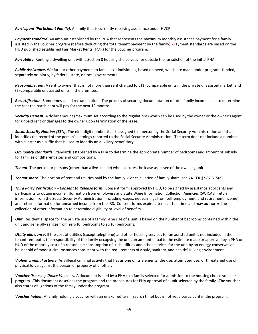*Participant (Participant Family).* A family that is currently receiving assistance under HVCP.

*Payment standard.* An amount established by the PHA that represents the maximum monthly assistance payment for a family assisted in the voucher program (before deducting the total tenant payment by the family). Payment standards are based on the HUD published established Fair Market Rents (FMR) for the voucher program.

*Portability***.** Renting a dwelling unit with a Section 8 housing choice voucher outside the jurisdiction of the initial PHA.

*Public Assistance***.** Welfare or other payments to families or individuals, based on need, which are made under programs funded, separately or jointly, by federal, state, or local governments.

*Reasonable rent***.** A rent to owner that is not more than rent charged for: (1) comparable units in the private unassisted market; and (2) comparable unassisted units in the premises.

*Recertification***.** Sometimes called reexamination. The process of securing documentation of total family income used to determine the rent the participant will pay for the next 12 months.

*Security Deposit.* A dollar amount (maximum set according to the regulations) which can be used by the owner or the owner's agent for unpaid rent or damages to the owner upon termination of the lease.

*Social Security Number (SSN)***.** The nine-digit number that is assigned to a person by the Social Security Administration and that identifies the record of the person's earnings reported to the Social Security Administration. The term does not include a number with a letter as a suffix that is used to identify an auxiliary beneficiary.

*Occupancy standards.* Standards established by a PHA to determine the appropriate number of bedrooms and amount of subsidy for families of different sizes and compositions.

*Tenant***.** The person or persons (other than a live-in aide) who executes the lease as lessee of the dwelling unit.

*Tenant share.* The portion of rent and utilities paid by the family. For calculation of family share, see 24 CFR § 982.515(a).

*Third Party Verification – Consent to Release form***.** Consent form, approved by HUD, to be signed by assistance applicants and participants to obtain income information from employers and State Wage Information Collection Agencies (SWICAs); return information from the Social Security Administration (including wages, net earnings from self-employment, and retirement income); and return information for unearned income from the IRS. Consent forms expire after a certain time and may authorize the collection of other information to determine eligibility or level of benefits.

*Unit*. Residential space for the private use of a family. The size of a unit is based on the number of bedrooms contained within the unit and generally ranges from zero (0) bedrooms to six (6) bedrooms.

*Utility allowance***.** If the cost of utilities (except telephone) and other housing services for an assisted unit is not included in the tenant rent but is the responsibility of the family occupying the unit, an amount equal to the estimate made or approved by a PHA or HUD of the monthly cost of a reasonable consumption of such utilities and other services for the unit by an energy-conservative household of modest circumstances consistent with the requirements of a safe, sanitary, and healthful living environment.

*Violent criminal activity.* Any illegal criminal activity that has as one of its elements: the use, attempted use, or threatened use of physical force against the person or property of another.

*Voucher (Housing Choice Voucher).* A document issued by a PHA to a family selected for admission to the housing choice voucher program. This document describes the program and the procedures for PHA approval of a unit selected by the family. The voucher also states obligations of the family under the program.

*Voucher holder.* A family holding a voucher with an unexpired term (search time) but is not yet a participant in the program.